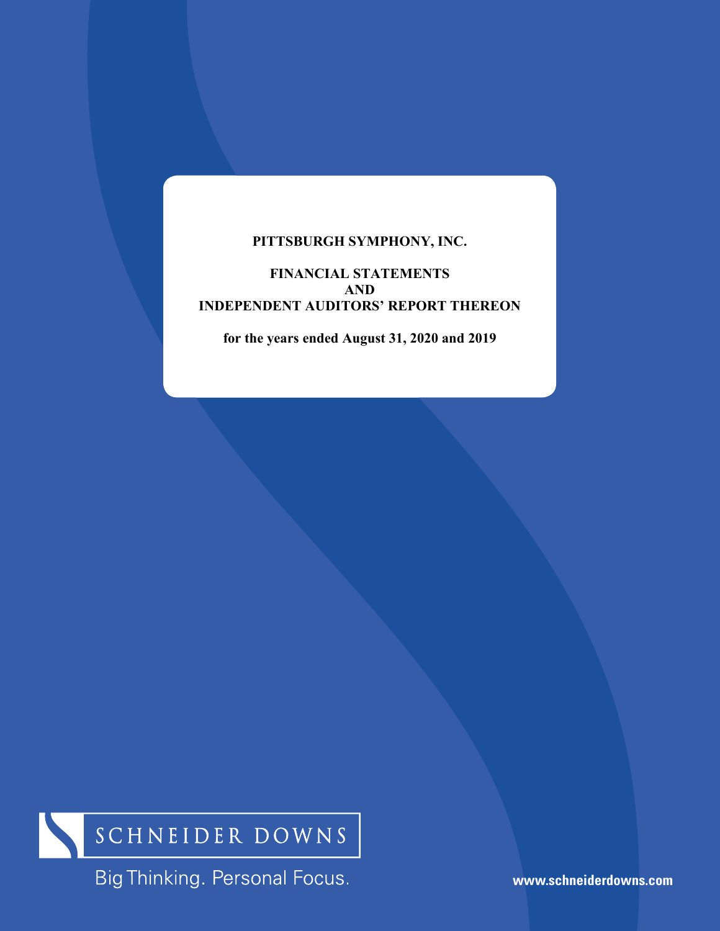## **PITTSBURGH SYMPHONY, INC.**

### **FINANCIAL STATEMENTS AND INDEPENDENT AUDITORS' REPORT THEREON**

**for the years ended August 31, 2020 and 2019** 



Big Thinking. Personal Focus.

**www.schneiderdowns.com**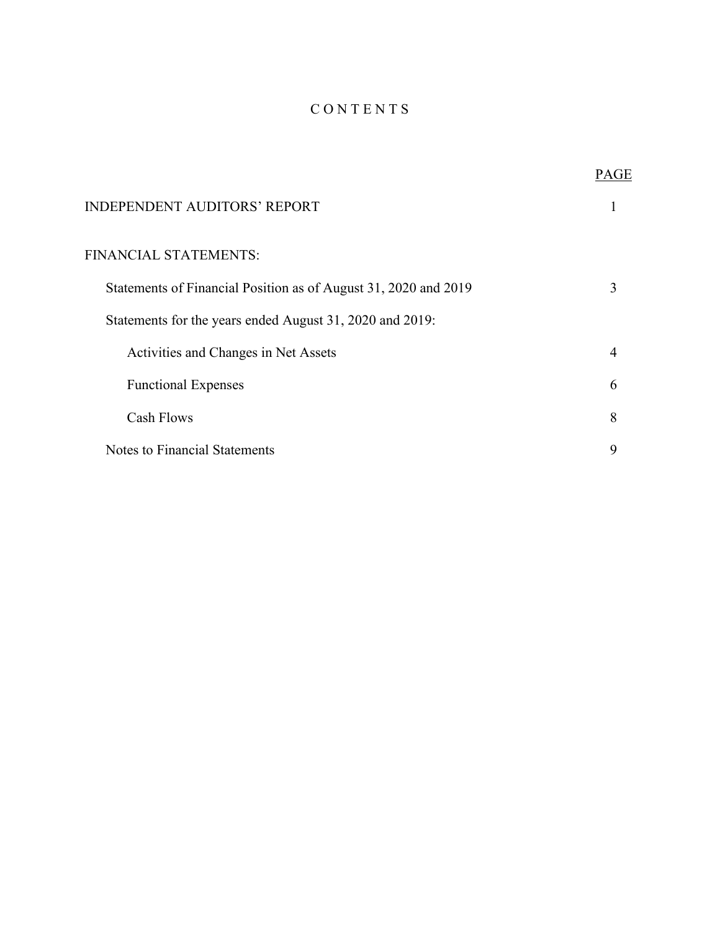## C O N T E N T S

|                                                                 | PAGI |
|-----------------------------------------------------------------|------|
| <b>INDEPENDENT AUDITORS' REPORT</b>                             |      |
| FINANCIAL STATEMENTS:                                           |      |
| Statements of Financial Position as of August 31, 2020 and 2019 | 3    |
| Statements for the years ended August 31, 2020 and 2019:        |      |
| Activities and Changes in Net Assets                            | 4    |
| <b>Functional Expenses</b>                                      | 6    |
| <b>Cash Flows</b>                                               | 8    |
| Notes to Financial Statements                                   | 9    |

# $\overline{E}$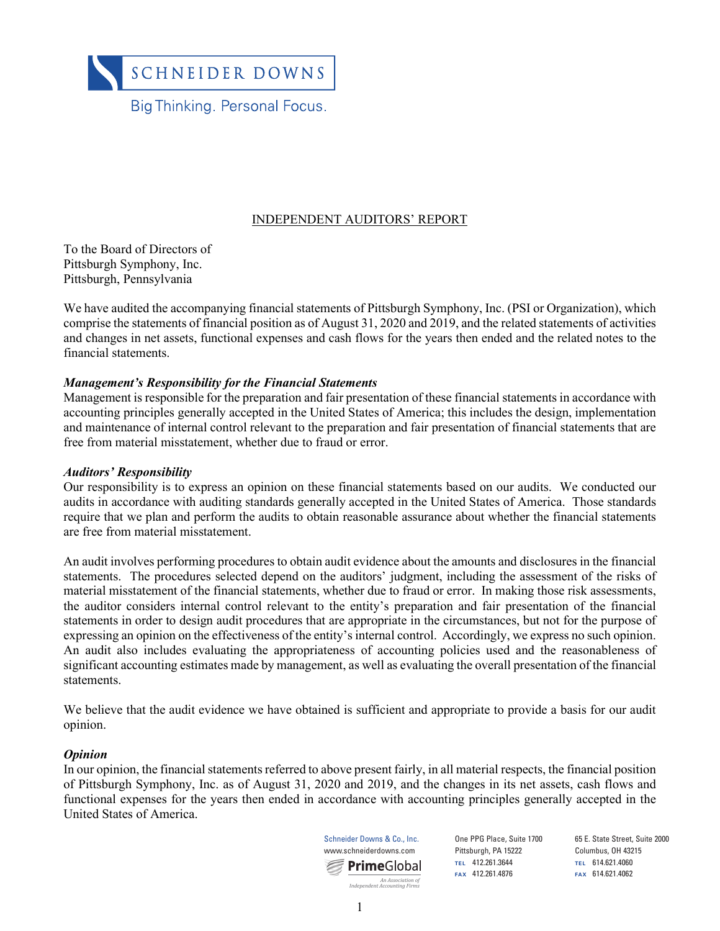**SCHNEIDER DOWNS** Big Thinking. Personal Focus.

### INDEPENDENT AUDITORS' REPORT

To the Board of Directors of Pittsburgh Symphony, Inc. Pittsburgh, Pennsylvania

We have audited the accompanying financial statements of Pittsburgh Symphony, Inc. (PSI or Organization), which comprise the statements of financial position as of August 31, 2020 and 2019, and the related statements of activities and changes in net assets, functional expenses and cash flows for the years then ended and the related notes to the financial statements.

#### *Management's Responsibility for the Financial Statements*

Management is responsible for the preparation and fair presentation of these financial statements in accordance with accounting principles generally accepted in the United States of America; this includes the design, implementation and maintenance of internal control relevant to the preparation and fair presentation of financial statements that are free from material misstatement, whether due to fraud or error.

#### *Auditors' Responsibility*

Our responsibility is to express an opinion on these financial statements based on our audits. We conducted our audits in accordance with auditing standards generally accepted in the United States of America. Those standards require that we plan and perform the audits to obtain reasonable assurance about whether the financial statements are free from material misstatement.

An audit involves performing procedures to obtain audit evidence about the amounts and disclosures in the financial statements. The procedures selected depend on the auditors' judgment, including the assessment of the risks of material misstatement of the financial statements, whether due to fraud or error. In making those risk assessments, the auditor considers internal control relevant to the entity's preparation and fair presentation of the financial statements in order to design audit procedures that are appropriate in the circumstances, but not for the purpose of expressing an opinion on the effectiveness of the entity's internal control. Accordingly, we express no such opinion. An audit also includes evaluating the appropriateness of accounting policies used and the reasonableness of significant accounting estimates made by management, as well as evaluating the overall presentation of the financial statements.

We believe that the audit evidence we have obtained is sufficient and appropriate to provide a basis for our audit opinion.

#### *Opinion*

In our opinion, the financial statements referred to above present fairly, in all material respects, the financial position of Pittsburgh Symphony, Inc. as of August 31, 2020 and 2019, and the changes in its net assets, cash flows and functional expenses for the years then ended in accordance with accounting principles generally accepted in the United States of America.



One PPG Place, Suite 1700 Pittsburgh, PA 15222 **TEL** 412.261.3644 **FAX** 412.261.4876 **FAX** 614.621.4062 *An Association of* 

65 E. State Street, Suite 2000 Columbus, OH 43215 **TEL** 614.621.4060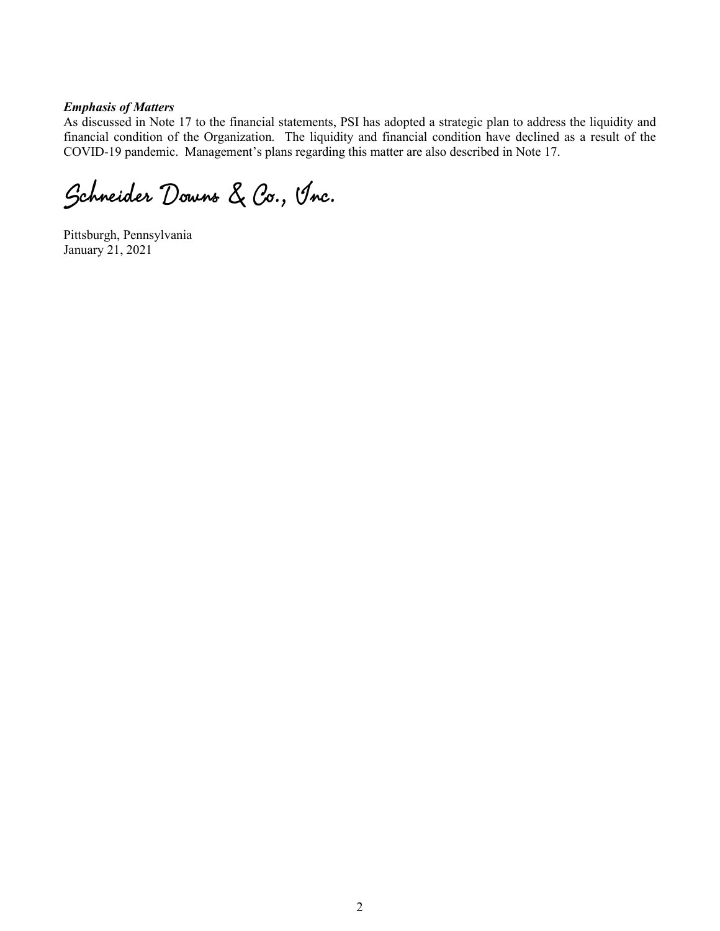#### *Emphasis of Matters*

As discussed in Note 17 to the financial statements, PSI has adopted a strategic plan to address the liquidity and financial condition of the Organization. The liquidity and financial condition have declined as a result of the COVID-19 pandemic. Management's plans regarding this matter are also described in Note 17.

Schneider Downs & Co., Inc.

Pittsburgh, Pennsylvania January 21, 2021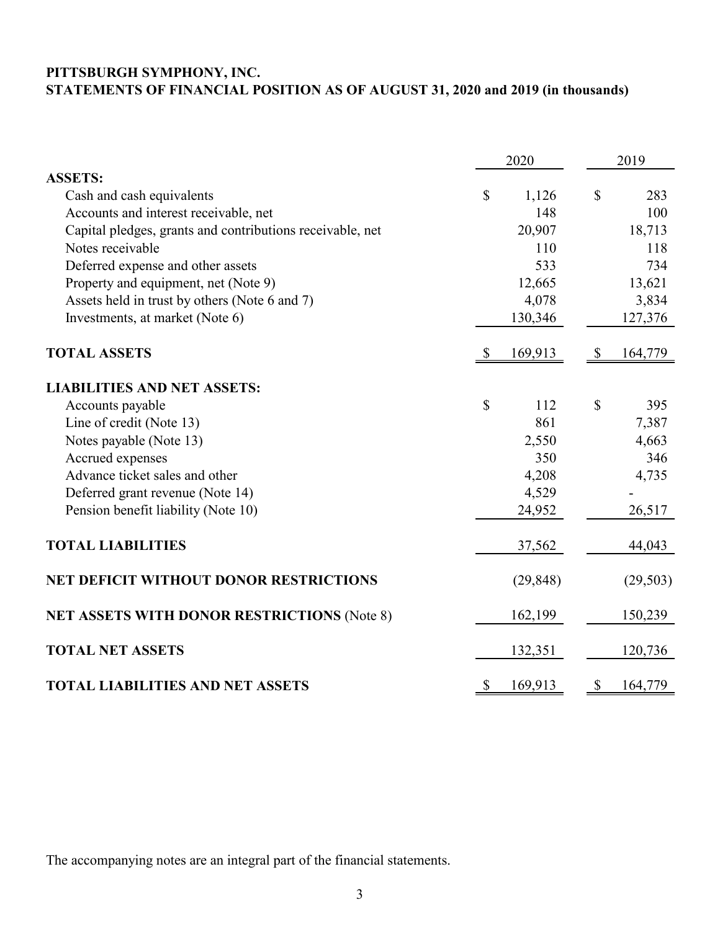## **PITTSBURGH SYMPHONY, INC. STATEMENTS OF FINANCIAL POSITION AS OF AUGUST 31, 2020 and 2019 (in thousands)**

|                                                           |               | 2020      |                           | 2019      |  |  |
|-----------------------------------------------------------|---------------|-----------|---------------------------|-----------|--|--|
| <b>ASSETS:</b>                                            |               |           |                           |           |  |  |
| Cash and cash equivalents                                 | $\mathbb{S}$  | 1,126     | $\boldsymbol{\mathsf{S}}$ | 283       |  |  |
| Accounts and interest receivable, net                     |               | 148       |                           | 100       |  |  |
| Capital pledges, grants and contributions receivable, net |               | 20,907    |                           | 18,713    |  |  |
| Notes receivable                                          |               | 110       |                           | 118       |  |  |
| Deferred expense and other assets                         |               | 533       |                           | 734       |  |  |
| Property and equipment, net (Note 9)                      |               | 12,665    |                           | 13,621    |  |  |
| Assets held in trust by others (Note 6 and 7)             |               | 4,078     |                           | 3,834     |  |  |
| Investments, at market (Note 6)                           |               | 130,346   |                           | 127,376   |  |  |
| <b>TOTAL ASSETS</b>                                       | -S            | 169,913   | $\boldsymbol{\mathsf{S}}$ | 164,779   |  |  |
| <b>LIABILITIES AND NET ASSETS:</b>                        |               |           |                           |           |  |  |
| Accounts payable                                          | $\mathcal{S}$ | 112       | \$                        | 395       |  |  |
| Line of credit (Note 13)                                  |               | 861       |                           | 7,387     |  |  |
| Notes payable (Note 13)                                   |               | 2,550     |                           | 4,663     |  |  |
| Accrued expenses                                          |               | 350       |                           | 346       |  |  |
| Advance ticket sales and other                            |               | 4,208     |                           | 4,735     |  |  |
| Deferred grant revenue (Note 14)                          |               | 4,529     |                           |           |  |  |
| Pension benefit liability (Note 10)                       |               | 24,952    |                           | 26,517    |  |  |
| <b>TOTAL LIABILITIES</b>                                  |               | 37,562    |                           | 44,043    |  |  |
| <b>NET DEFICIT WITHOUT DONOR RESTRICTIONS</b>             |               | (29, 848) |                           | (29, 503) |  |  |
| NET ASSETS WITH DONOR RESTRICTIONS (Note 8)               |               | 162,199   |                           | 150,239   |  |  |
| <b>TOTAL NET ASSETS</b>                                   |               | 132,351   |                           | 120,736   |  |  |
| <b>TOTAL LIABILITIES AND NET ASSETS</b>                   | $\mathbb{S}$  | 169,913   | \$                        | 164,779   |  |  |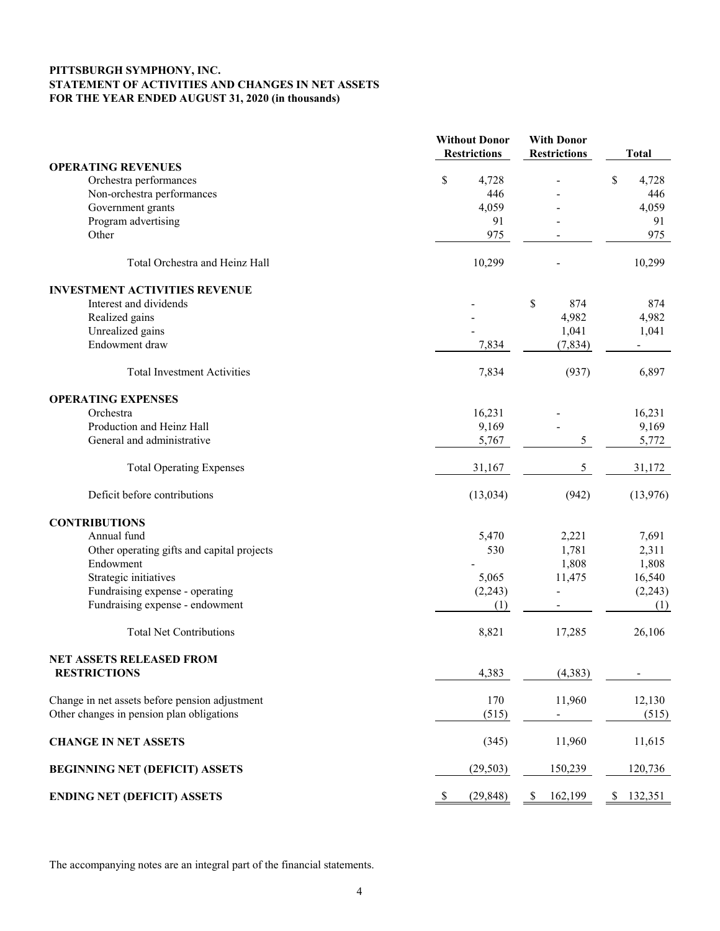#### **PITTSBURGH SYMPHONY, INC. STATEMENT OF ACTIVITIES AND CHANGES IN NET ASSETS FOR THE YEAR ENDED AUGUST 31, 2020 (in thousands)**

|                                                | <b>Without Donor</b>       |                          |                         |
|------------------------------------------------|----------------------------|--------------------------|-------------------------|
| <b>OPERATING REVENUES</b>                      | <b>Restrictions</b>        | <b>Restrictions</b>      | <b>Total</b>            |
| Orchestra performances                         | \$<br>4,728                | $\overline{\phantom{0}}$ | \$<br>4,728             |
| Non-orchestra performances                     | 446                        |                          | 446                     |
|                                                | 4,059                      |                          | 4,059                   |
| Government grants                              |                            |                          |                         |
| Program advertising                            | 91                         |                          | 91                      |
| Other                                          | 975                        |                          | 975                     |
| Total Orchestra and Heinz Hall                 | 10,299                     |                          | 10,299                  |
| <b>INVESTMENT ACTIVITIES REVENUE</b>           |                            |                          |                         |
| Interest and dividends                         |                            | \$<br>874                | 874                     |
| Realized gains                                 |                            | 4,982                    | 4,982                   |
| Unrealized gains                               |                            | 1,041                    | 1,041                   |
| Endowment draw                                 | 7,834                      | (7, 834)                 |                         |
| <b>Total Investment Activities</b>             | 7,834                      | (937)                    | 6,897                   |
| <b>OPERATING EXPENSES</b>                      |                            |                          |                         |
| Orchestra                                      | 16,231                     |                          | 16,231                  |
| Production and Heinz Hall                      | 9,169                      |                          | 9,169                   |
| General and administrative                     | 5,767                      | 5                        | 5,772                   |
| <b>Total Operating Expenses</b>                | 31,167                     | 5                        | 31,172                  |
| Deficit before contributions                   | (13, 034)                  | (942)                    | (13,976)                |
| <b>CONTRIBUTIONS</b>                           |                            |                          |                         |
| Annual fund                                    | 5,470                      | 2,221                    | 7,691                   |
| Other operating gifts and capital projects     | 530                        | 1,781                    | 2,311                   |
| Endowment                                      |                            | 1,808                    | 1,808                   |
| Strategic initiatives                          | 5,065                      | 11,475                   | 16,540                  |
| Fundraising expense - operating                | (2, 243)                   | $\overline{a}$           | (2,243)                 |
| Fundraising expense - endowment                | (1)                        |                          | (1)                     |
| <b>Total Net Contributions</b>                 | 8,821                      | 17,285                   | 26,106                  |
| <b>NET ASSETS RELEASED FROM</b>                |                            |                          |                         |
| <b>RESTRICTIONS</b>                            | 4,383                      | (4, 383)                 |                         |
| Change in net assets before pension adjustment | 170                        | 11,960                   | 12,130                  |
| Other changes in pension plan obligations      | (515)                      |                          | (515)                   |
| <b>CHANGE IN NET ASSETS</b>                    | (345)                      | 11,960                   | 11,615                  |
| <b>BEGINNING NET (DEFICIT) ASSETS</b>          | (29, 503)                  | 150,239                  | 120,736                 |
| <b>ENDING NET (DEFICIT) ASSETS</b>             | (29, 848)<br><sup>\$</sup> | 162,199<br><sup>\$</sup> | 132,351<br>$\mathbb{S}$ |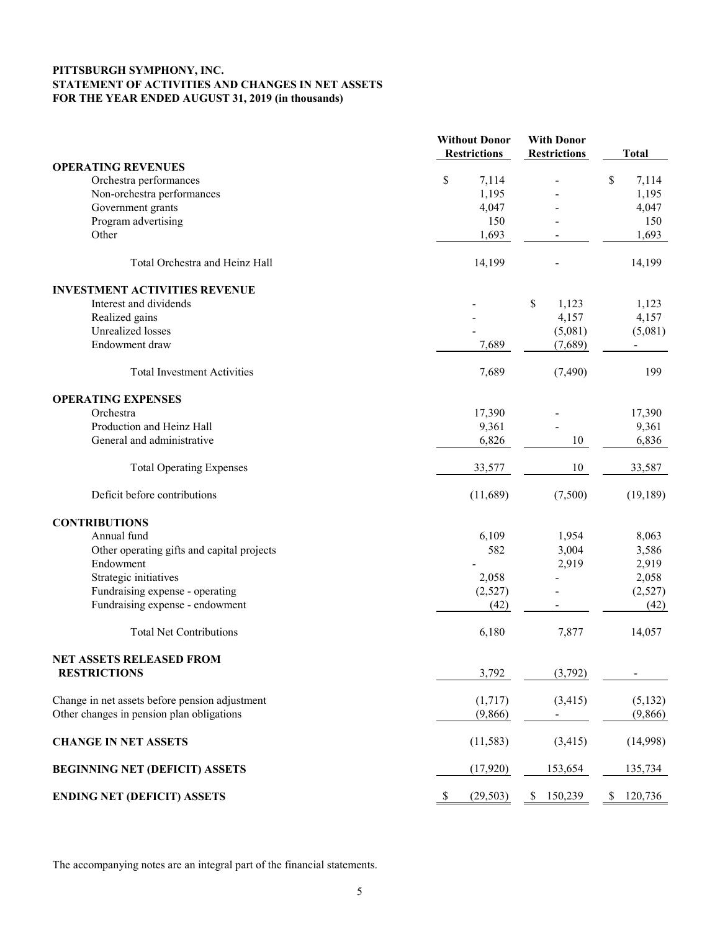#### **PITTSBURGH SYMPHONY, INC. STATEMENT OF ACTIVITIES AND CHANGES IN NET ASSETS FOR THE YEAR ENDED AUGUST 31, 2019 (in thousands)**

|                                                | <b>Without Donor</b><br><b>With Donor</b> |                     |              |
|------------------------------------------------|-------------------------------------------|---------------------|--------------|
|                                                | <b>Restrictions</b>                       | <b>Restrictions</b> | <b>Total</b> |
| <b>OPERATING REVENUES</b>                      |                                           |                     |              |
| Orchestra performances                         | \$<br>7,114                               |                     | \$<br>7,114  |
| Non-orchestra performances                     | 1,195                                     |                     | 1,195        |
| Government grants                              | 4,047                                     |                     | 4,047        |
| Program advertising                            | 150                                       |                     | 150          |
| Other                                          | 1,693                                     |                     | 1,693        |
|                                                |                                           |                     |              |
| Total Orchestra and Heinz Hall                 | 14,199                                    |                     | 14,199       |
| <b>INVESTMENT ACTIVITIES REVENUE</b>           |                                           |                     |              |
| Interest and dividends                         |                                           | \$<br>1,123         | 1,123        |
| Realized gains                                 |                                           | 4,157               | 4,157        |
| <b>Unrealized</b> losses                       |                                           | (5,081)             | (5,081)      |
| Endowment draw                                 | 7,689                                     | (7,689)             |              |
| <b>Total Investment Activities</b>             | 7,689                                     | (7, 490)            | 199          |
| <b>OPERATING EXPENSES</b>                      |                                           |                     |              |
| Orchestra                                      | 17,390                                    |                     | 17,390       |
| Production and Heinz Hall                      | 9,361                                     |                     | 9,361        |
| General and administrative                     | 6,826                                     | 10                  | 6,836        |
| <b>Total Operating Expenses</b>                | 33,577                                    | 10                  | 33,587       |
| Deficit before contributions                   | (11,689)                                  | (7,500)             | (19, 189)    |
| <b>CONTRIBUTIONS</b>                           |                                           |                     |              |
| Annual fund                                    | 6,109                                     | 1,954               | 8,063        |
| Other operating gifts and capital projects     | 582                                       | 3,004               | 3,586        |
| Endowment                                      |                                           | 2,919               | 2,919        |
| Strategic initiatives                          | 2,058                                     |                     | 2,058        |
| Fundraising expense - operating                | (2,527)                                   |                     | (2,527)      |
| Fundraising expense - endowment                | (42)                                      |                     | (42)         |
|                                                |                                           |                     |              |
| <b>Total Net Contributions</b>                 | 6,180                                     | 7,877               | 14,057       |
| <b>NET ASSETS RELEASED FROM</b>                |                                           |                     |              |
| <b>RESTRICTIONS</b>                            | 3,792                                     | (3,792)             |              |
| Change in net assets before pension adjustment | (1,717)                                   | (3, 415)            | (5,132)      |
| Other changes in pension plan obligations      | (9,866)                                   |                     | (9,866)      |
| <b>CHANGE IN NET ASSETS</b>                    | (11, 583)                                 | (3, 415)            | (14,998)     |
| <b>BEGINNING NET (DEFICIT) ASSETS</b>          | (17,920)                                  | 153,654             | 135,734      |
| <b>ENDING NET (DEFICIT) ASSETS</b>             | (29, 503)<br>\$                           | 150,239<br>S.       | 120,736<br>S |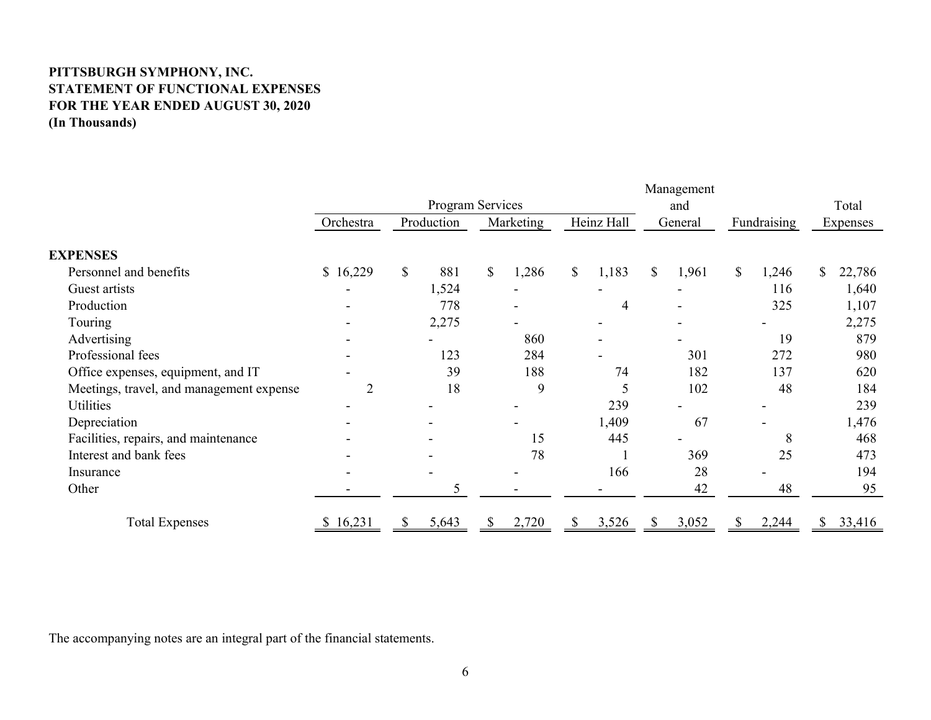## **PITTSBURGH SYMPHONY, INC. STATEMENT OF FUNCTIONAL EXPENSES FOR THE YEAR ENDED AUGUST 30, 2020 (In Thousands)**

|                                          |                  |              |                          |    |           |              |            |    | Management |       |             |    |          |
|------------------------------------------|------------------|--------------|--------------------------|----|-----------|--------------|------------|----|------------|-------|-------------|----|----------|
|                                          | Program Services |              |                          |    |           | and          |            |    |            | Total |             |    |          |
|                                          | Orchestra        |              | Production               |    | Marketing |              | Heinz Hall |    | General    |       | Fundraising |    | Expenses |
| <b>EXPENSES</b>                          |                  |              |                          |    |           |              |            |    |            |       |             |    |          |
| Personnel and benefits                   | \$16,229         | $\mathbb{S}$ | 881                      | \$ | 1,286     | $\mathbb{S}$ | 1,183      | \$ | 1,961      | \$    | 1,246       | \$ | 22,786   |
| Guest artists                            |                  |              | 1,524                    |    |           |              |            |    |            |       | 116         |    | 1,640    |
| Production                               |                  |              | 778                      |    |           |              | 4          |    |            |       | 325         |    | 1,107    |
| Touring                                  |                  |              | 2,275                    |    |           |              |            |    |            |       |             |    | 2,275    |
| Advertising                              |                  |              |                          |    | 860       |              |            |    |            |       | 19          |    | 879      |
| Professional fees                        |                  |              | 123                      |    | 284       |              |            |    | 301        |       | 272         |    | 980      |
| Office expenses, equipment, and IT       |                  |              | 39                       |    | 188       |              | 74         |    | 182        |       | 137         |    | 620      |
| Meetings, travel, and management expense | $\overline{2}$   |              | 18                       |    | 9         |              |            |    | 102        |       | 48          |    | 184      |
| Utilities                                |                  |              |                          |    |           |              | 239        |    |            |       |             |    | 239      |
| Depreciation                             |                  |              |                          |    |           |              | 1,409      |    | 67         |       |             |    | 1,476    |
| Facilities, repairs, and maintenance     |                  |              | $\overline{\phantom{a}}$ |    | 15        |              | 445        |    |            |       | 8           |    | 468      |
| Interest and bank fees                   |                  |              |                          |    | 78        |              |            |    | 369        |       | 25          |    | 473      |
| Insurance                                |                  |              |                          |    |           |              | 166        |    | 28         |       |             |    | 194      |
| Other                                    |                  |              | 5                        |    |           |              |            |    | 42         |       | 48          |    | 95       |
| <b>Total Expenses</b>                    | 16,231           |              | 5,643                    |    | 2,720     |              | 3,526      |    | 3,052      |       | 2,244       | S. | 33,416   |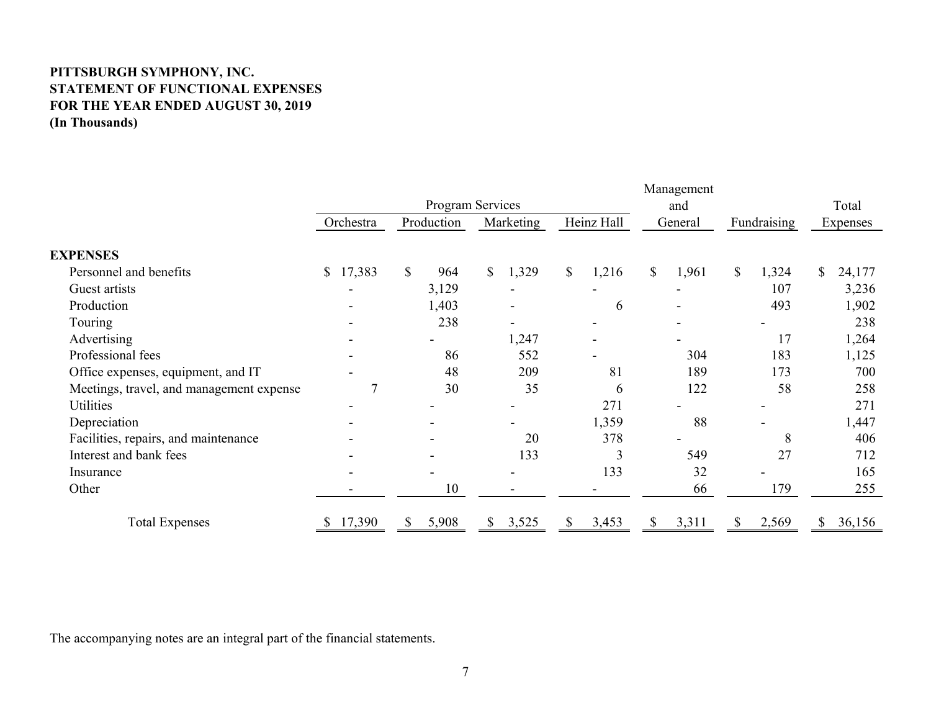## **PITTSBURGH SYMPHONY, INC. STATEMENT OF FUNCTIONAL EXPENSES FOR THE YEAR ENDED AUGUST 30, 2019 (In Thousands)**

|                                          |                  |            |                          |                       | Management  |             |              |  |
|------------------------------------------|------------------|------------|--------------------------|-----------------------|-------------|-------------|--------------|--|
|                                          | Program Services |            |                          |                       | and         |             | Total        |  |
|                                          | Orchestra        | Production | Marketing                | Heinz Hall            | General     | Fundraising | Expenses     |  |
| <b>EXPENSES</b>                          |                  |            |                          |                       |             |             |              |  |
| Personnel and benefits                   | 17,383<br>\$     | \$<br>964  | \$<br>1,329              | $\mathbb{S}$<br>1,216 | \$<br>1,961 | \$<br>1,324 | S.<br>24,177 |  |
| Guest artists                            |                  | 3,129      | $\overline{\phantom{a}}$ |                       |             | 107         | 3,236        |  |
| Production                               |                  | 1,403      |                          | 6                     |             | 493         | 1,902        |  |
| Touring                                  |                  | 238        |                          |                       |             |             | 238          |  |
| Advertising                              |                  |            | 1,247                    |                       |             | 17          | 1,264        |  |
| Professional fees                        |                  | 86         | 552                      |                       | 304         | 183         | 1,125        |  |
| Office expenses, equipment, and IT       |                  | 48         | 209                      | 81                    | 189         | 173         | 700          |  |
| Meetings, travel, and management expense |                  | 30         | 35                       | 6                     | 122         | 58          | 258          |  |
| <b>Utilities</b>                         |                  |            |                          | 271                   |             |             | 271          |  |
| Depreciation                             |                  |            |                          | 1,359                 | 88          |             | 1,447        |  |
| Facilities, repairs, and maintenance     |                  |            | 20                       | 378                   |             | 8           | 406          |  |
| Interest and bank fees                   |                  |            | 133                      | 3                     | 549         | 27          | 712          |  |
| Insurance                                |                  |            |                          | 133                   | 32          |             | 165          |  |
| Other                                    |                  | 10         |                          |                       | 66          | 179         | 255          |  |
| <b>Total Expenses</b>                    | 17,390           | 5,908      | 3,525<br>S.              | 3,453                 | 3,311       | 2,569       | 36,156       |  |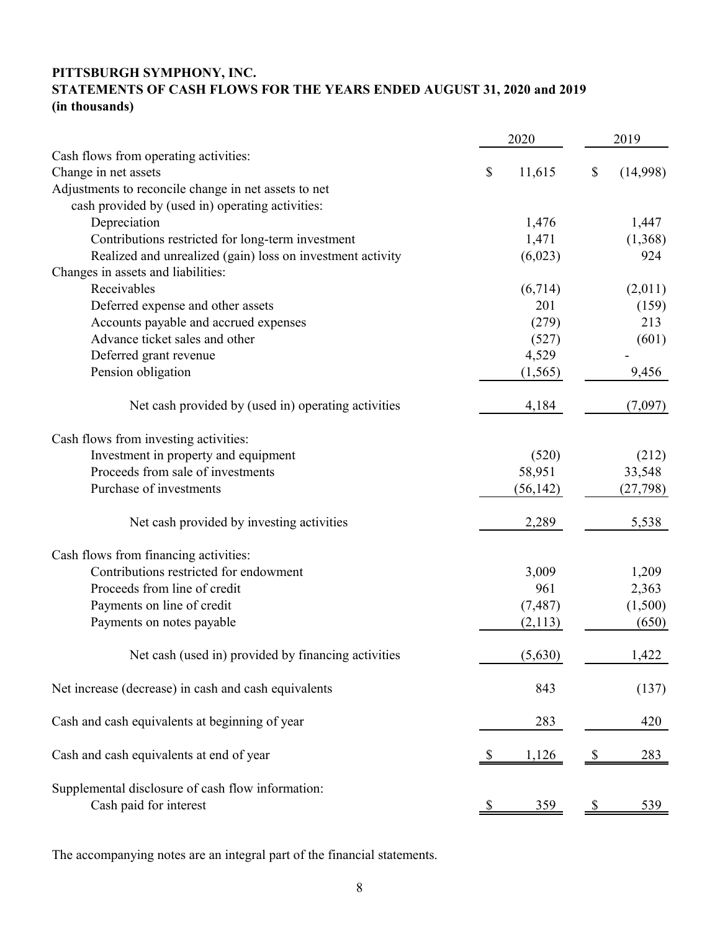## **PITTSBURGH SYMPHONY, INC. STATEMENTS OF CASH FLOWS FOR THE YEARS ENDED AUGUST 31, 2020 and 2019 (in thousands)**

|                                                            | 2020         | 2019 |           |  |
|------------------------------------------------------------|--------------|------|-----------|--|
| Cash flows from operating activities:                      |              |      |           |  |
| Change in net assets                                       | \$<br>11,615 | \$   | (14,998)  |  |
| Adjustments to reconcile change in net assets to net       |              |      |           |  |
| cash provided by (used in) operating activities:           |              |      |           |  |
| Depreciation                                               | 1,476        |      | 1,447     |  |
| Contributions restricted for long-term investment          | 1,471        |      | (1,368)   |  |
| Realized and unrealized (gain) loss on investment activity | (6,023)      |      | 924       |  |
| Changes in assets and liabilities:                         |              |      |           |  |
| Receivables                                                | (6,714)      |      | (2,011)   |  |
| Deferred expense and other assets                          | 201          |      | (159)     |  |
| Accounts payable and accrued expenses                      | (279)        |      | 213       |  |
| Advance ticket sales and other                             | (527)        |      | (601)     |  |
| Deferred grant revenue                                     | 4,529        |      |           |  |
| Pension obligation                                         | (1, 565)     |      | 9,456     |  |
| Net cash provided by (used in) operating activities        | 4,184        |      | (7,097)   |  |
| Cash flows from investing activities:                      |              |      |           |  |
| Investment in property and equipment                       | (520)        |      | (212)     |  |
| Proceeds from sale of investments                          | 58,951       |      | 33,548    |  |
| Purchase of investments                                    | (56, 142)    |      | (27, 798) |  |
| Net cash provided by investing activities                  | 2,289        |      | 5,538     |  |
| Cash flows from financing activities:                      |              |      |           |  |
| Contributions restricted for endowment                     | 3,009        |      | 1,209     |  |
| Proceeds from line of credit                               | 961          |      | 2,363     |  |
| Payments on line of credit                                 | (7, 487)     |      | (1,500)   |  |
| Payments on notes payable                                  | (2,113)      |      | (650)     |  |
| Net cash (used in) provided by financing activities        | (5,630)      |      | 1,422     |  |
| Net increase (decrease) in cash and cash equivalents       | 843          |      | (137)     |  |
| Cash and cash equivalents at beginning of year             | 283          |      | 420       |  |
| Cash and cash equivalents at end of year                   | 1,126        | -S   | 283       |  |
| Supplemental disclosure of cash flow information:          |              |      |           |  |
| Cash paid for interest                                     | \$<br>359    | \$   | 539       |  |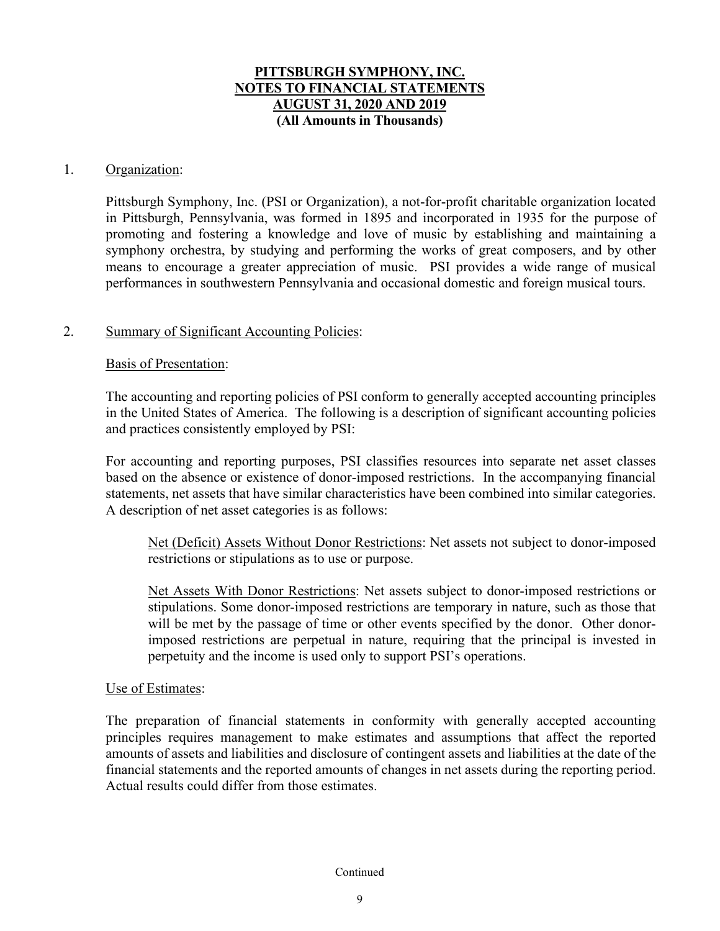#### 1. Organization:

Pittsburgh Symphony, Inc. (PSI or Organization), a not-for-profit charitable organization located in Pittsburgh, Pennsylvania, was formed in 1895 and incorporated in 1935 for the purpose of promoting and fostering a knowledge and love of music by establishing and maintaining a symphony orchestra, by studying and performing the works of great composers, and by other means to encourage a greater appreciation of music. PSI provides a wide range of musical performances in southwestern Pennsylvania and occasional domestic and foreign musical tours.

### 2. Summary of Significant Accounting Policies:

#### Basis of Presentation:

The accounting and reporting policies of PSI conform to generally accepted accounting principles in the United States of America. The following is a description of significant accounting policies and practices consistently employed by PSI:

For accounting and reporting purposes, PSI classifies resources into separate net asset classes based on the absence or existence of donor-imposed restrictions. In the accompanying financial statements, net assets that have similar characteristics have been combined into similar categories. A description of net asset categories is as follows:

Net (Deficit) Assets Without Donor Restrictions: Net assets not subject to donor-imposed restrictions or stipulations as to use or purpose.

Net Assets With Donor Restrictions: Net assets subject to donor-imposed restrictions or stipulations. Some donor-imposed restrictions are temporary in nature, such as those that will be met by the passage of time or other events specified by the donor. Other donorimposed restrictions are perpetual in nature, requiring that the principal is invested in perpetuity and the income is used only to support PSI's operations.

### Use of Estimates:

The preparation of financial statements in conformity with generally accepted accounting principles requires management to make estimates and assumptions that affect the reported amounts of assets and liabilities and disclosure of contingent assets and liabilities at the date of the financial statements and the reported amounts of changes in net assets during the reporting period. Actual results could differ from those estimates.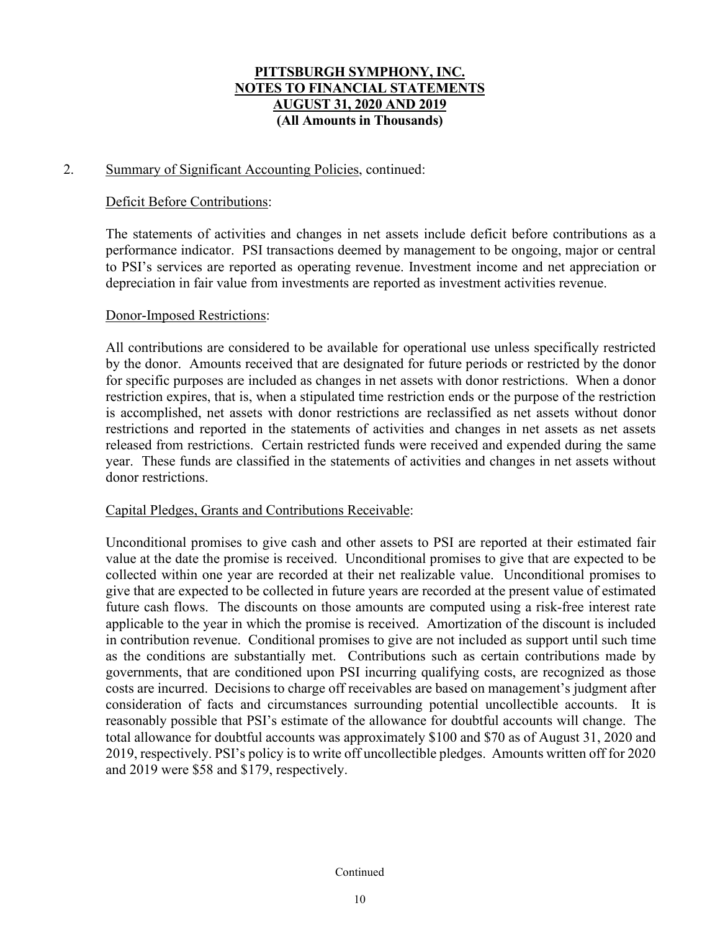#### 2. Summary of Significant Accounting Policies, continued:

#### Deficit Before Contributions:

The statements of activities and changes in net assets include deficit before contributions as a performance indicator. PSI transactions deemed by management to be ongoing, major or central to PSI's services are reported as operating revenue. Investment income and net appreciation or depreciation in fair value from investments are reported as investment activities revenue.

#### Donor-Imposed Restrictions:

All contributions are considered to be available for operational use unless specifically restricted by the donor. Amounts received that are designated for future periods or restricted by the donor for specific purposes are included as changes in net assets with donor restrictions. When a donor restriction expires, that is, when a stipulated time restriction ends or the purpose of the restriction is accomplished, net assets with donor restrictions are reclassified as net assets without donor restrictions and reported in the statements of activities and changes in net assets as net assets released from restrictions. Certain restricted funds were received and expended during the same year. These funds are classified in the statements of activities and changes in net assets without donor restrictions.

### Capital Pledges, Grants and Contributions Receivable:

Unconditional promises to give cash and other assets to PSI are reported at their estimated fair value at the date the promise is received. Unconditional promises to give that are expected to be collected within one year are recorded at their net realizable value. Unconditional promises to give that are expected to be collected in future years are recorded at the present value of estimated future cash flows. The discounts on those amounts are computed using a risk-free interest rate applicable to the year in which the promise is received. Amortization of the discount is included in contribution revenue. Conditional promises to give are not included as support until such time as the conditions are substantially met. Contributions such as certain contributions made by governments, that are conditioned upon PSI incurring qualifying costs, are recognized as those costs are incurred. Decisions to charge off receivables are based on management's judgment after consideration of facts and circumstances surrounding potential uncollectible accounts. It is reasonably possible that PSI's estimate of the allowance for doubtful accounts will change. The total allowance for doubtful accounts was approximately \$100 and \$70 as of August 31, 2020 and 2019, respectively. PSI's policy is to write off uncollectible pledges. Amounts written off for 2020 and 2019 were \$58 and \$179, respectively.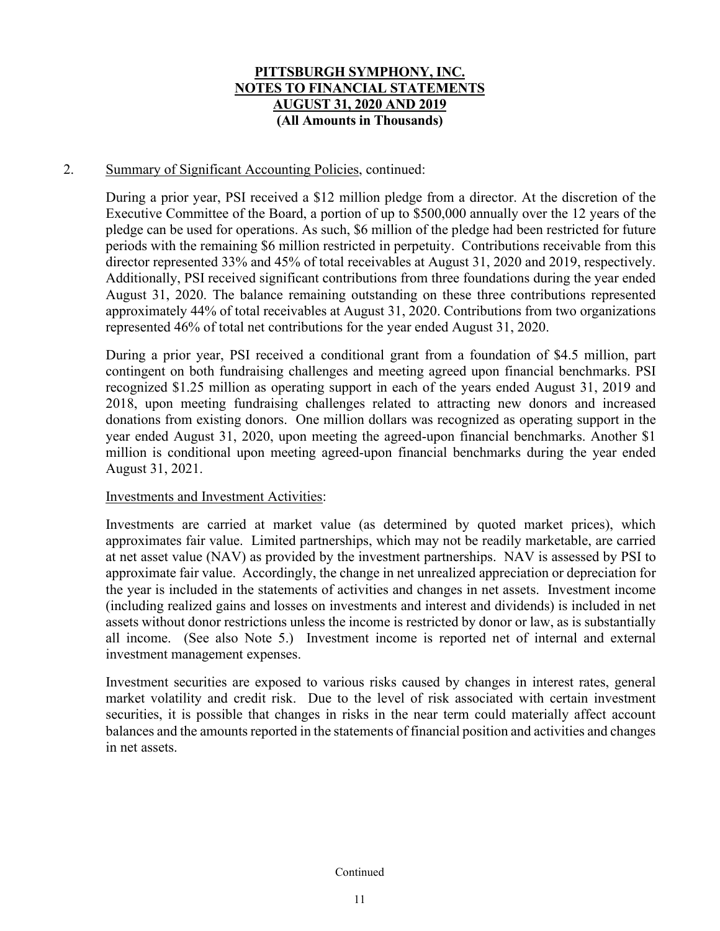#### 2. Summary of Significant Accounting Policies, continued:

During a prior year, PSI received a \$12 million pledge from a director. At the discretion of the Executive Committee of the Board, a portion of up to \$500,000 annually over the 12 years of the pledge can be used for operations. As such, \$6 million of the pledge had been restricted for future periods with the remaining \$6 million restricted in perpetuity. Contributions receivable from this director represented 33% and 45% of total receivables at August 31, 2020 and 2019, respectively. Additionally, PSI received significant contributions from three foundations during the year ended August 31, 2020. The balance remaining outstanding on these three contributions represented approximately 44% of total receivables at August 31, 2020. Contributions from two organizations represented 46% of total net contributions for the year ended August 31, 2020.

During a prior year, PSI received a conditional grant from a foundation of \$4.5 million, part contingent on both fundraising challenges and meeting agreed upon financial benchmarks. PSI recognized \$1.25 million as operating support in each of the years ended August 31, 2019 and 2018, upon meeting fundraising challenges related to attracting new donors and increased donations from existing donors. One million dollars was recognized as operating support in the year ended August 31, 2020, upon meeting the agreed-upon financial benchmarks. Another \$1 million is conditional upon meeting agreed-upon financial benchmarks during the year ended August 31, 2021.

### Investments and Investment Activities:

Investments are carried at market value (as determined by quoted market prices), which approximates fair value. Limited partnerships, which may not be readily marketable, are carried at net asset value (NAV) as provided by the investment partnerships. NAV is assessed by PSI to approximate fair value. Accordingly, the change in net unrealized appreciation or depreciation for the year is included in the statements of activities and changes in net assets. Investment income (including realized gains and losses on investments and interest and dividends) is included in net assets without donor restrictions unless the income is restricted by donor or law, as is substantially all income. (See also Note 5.) Investment income is reported net of internal and external investment management expenses.

Investment securities are exposed to various risks caused by changes in interest rates, general market volatility and credit risk. Due to the level of risk associated with certain investment securities, it is possible that changes in risks in the near term could materially affect account balances and the amounts reported in the statements of financial position and activities and changes in net assets.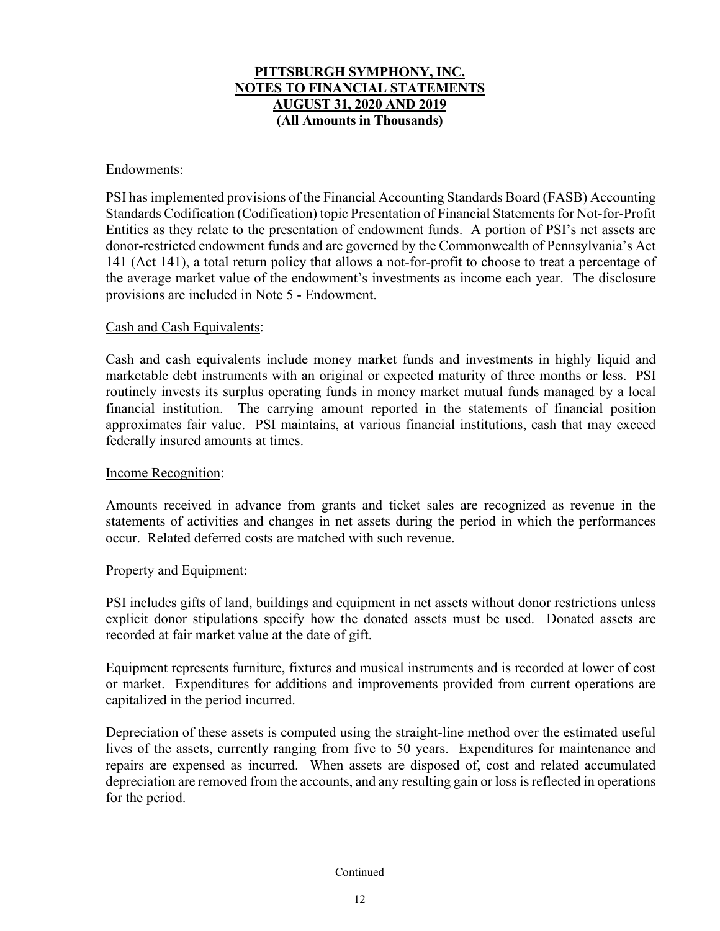#### Endowments:

PSI has implemented provisions of the Financial Accounting Standards Board (FASB) Accounting Standards Codification (Codification) topic Presentation of Financial Statements for Not-for-Profit Entities as they relate to the presentation of endowment funds. A portion of PSI's net assets are donor-restricted endowment funds and are governed by the Commonwealth of Pennsylvania's Act 141 (Act 141), a total return policy that allows a not-for-profit to choose to treat a percentage of the average market value of the endowment's investments as income each year. The disclosure provisions are included in Note 5 - Endowment.

### Cash and Cash Equivalents:

Cash and cash equivalents include money market funds and investments in highly liquid and marketable debt instruments with an original or expected maturity of three months or less. PSI routinely invests its surplus operating funds in money market mutual funds managed by a local financial institution. The carrying amount reported in the statements of financial position approximates fair value. PSI maintains, at various financial institutions, cash that may exceed federally insured amounts at times.

#### Income Recognition:

Amounts received in advance from grants and ticket sales are recognized as revenue in the statements of activities and changes in net assets during the period in which the performances occur. Related deferred costs are matched with such revenue.

### Property and Equipment:

PSI includes gifts of land, buildings and equipment in net assets without donor restrictions unless explicit donor stipulations specify how the donated assets must be used. Donated assets are recorded at fair market value at the date of gift.

Equipment represents furniture, fixtures and musical instruments and is recorded at lower of cost or market. Expenditures for additions and improvements provided from current operations are capitalized in the period incurred.

Depreciation of these assets is computed using the straight-line method over the estimated useful lives of the assets, currently ranging from five to 50 years. Expenditures for maintenance and repairs are expensed as incurred. When assets are disposed of, cost and related accumulated depreciation are removed from the accounts, and any resulting gain or loss is reflected in operations for the period.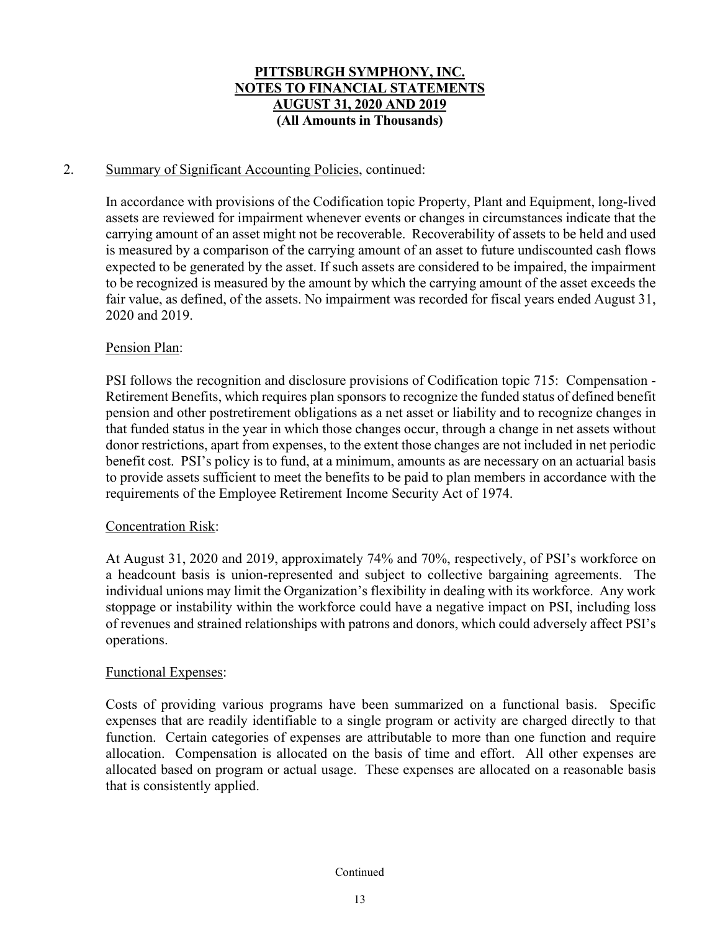### 2. Summary of Significant Accounting Policies, continued:

In accordance with provisions of the Codification topic Property, Plant and Equipment, long-lived assets are reviewed for impairment whenever events or changes in circumstances indicate that the carrying amount of an asset might not be recoverable. Recoverability of assets to be held and used is measured by a comparison of the carrying amount of an asset to future undiscounted cash flows expected to be generated by the asset. If such assets are considered to be impaired, the impairment to be recognized is measured by the amount by which the carrying amount of the asset exceeds the fair value, as defined, of the assets. No impairment was recorded for fiscal years ended August 31, 2020 and 2019.

### Pension Plan:

PSI follows the recognition and disclosure provisions of Codification topic 715: Compensation - Retirement Benefits, which requires plan sponsors to recognize the funded status of defined benefit pension and other postretirement obligations as a net asset or liability and to recognize changes in that funded status in the year in which those changes occur, through a change in net assets without donor restrictions, apart from expenses, to the extent those changes are not included in net periodic benefit cost. PSI's policy is to fund, at a minimum, amounts as are necessary on an actuarial basis to provide assets sufficient to meet the benefits to be paid to plan members in accordance with the requirements of the Employee Retirement Income Security Act of 1974.

### Concentration Risk:

At August 31, 2020 and 2019, approximately 74% and 70%, respectively, of PSI's workforce on a headcount basis is union-represented and subject to collective bargaining agreements. The individual unions may limit the Organization's flexibility in dealing with its workforce. Any work stoppage or instability within the workforce could have a negative impact on PSI, including loss of revenues and strained relationships with patrons and donors, which could adversely affect PSI's operations.

### Functional Expenses:

Costs of providing various programs have been summarized on a functional basis. Specific expenses that are readily identifiable to a single program or activity are charged directly to that function. Certain categories of expenses are attributable to more than one function and require allocation. Compensation is allocated on the basis of time and effort. All other expenses are allocated based on program or actual usage. These expenses are allocated on a reasonable basis that is consistently applied.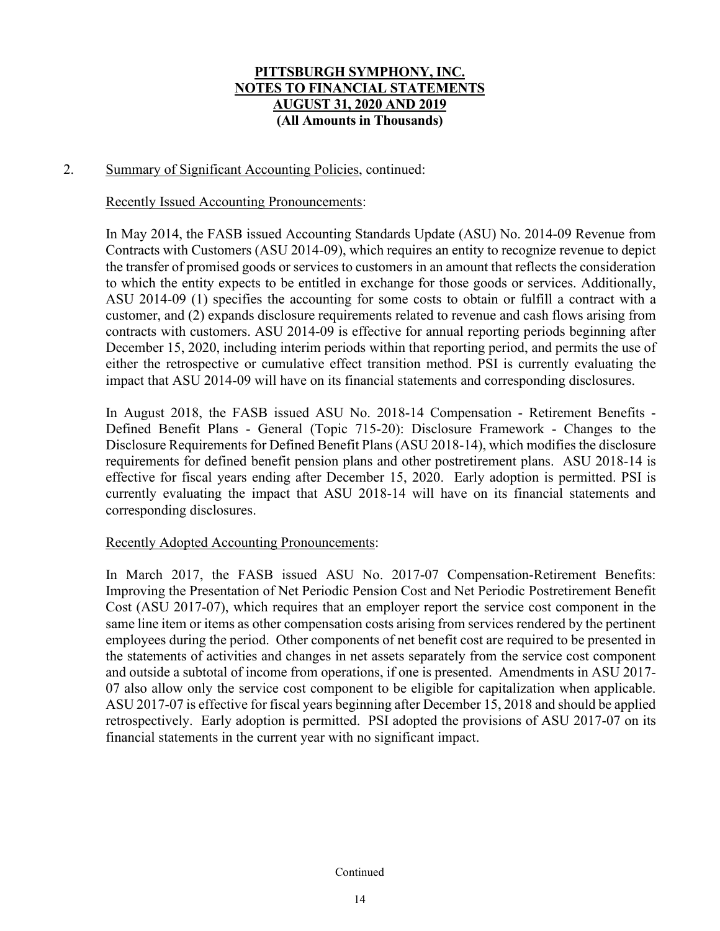#### 2. Summary of Significant Accounting Policies, continued:

#### Recently Issued Accounting Pronouncements:

In May 2014, the FASB issued Accounting Standards Update (ASU) No. 2014-09 Revenue from Contracts with Customers (ASU 2014-09), which requires an entity to recognize revenue to depict the transfer of promised goods or services to customers in an amount that reflects the consideration to which the entity expects to be entitled in exchange for those goods or services. Additionally, ASU 2014-09 (1) specifies the accounting for some costs to obtain or fulfill a contract with a customer, and (2) expands disclosure requirements related to revenue and cash flows arising from contracts with customers. ASU 2014-09 is effective for annual reporting periods beginning after December 15, 2020, including interim periods within that reporting period, and permits the use of either the retrospective or cumulative effect transition method. PSI is currently evaluating the impact that ASU 2014-09 will have on its financial statements and corresponding disclosures.

In August 2018, the FASB issued ASU No. 2018-14 Compensation - Retirement Benefits - Defined Benefit Plans - General (Topic 715-20): Disclosure Framework - Changes to the Disclosure Requirements for Defined Benefit Plans (ASU 2018-14), which modifies the disclosure requirements for defined benefit pension plans and other postretirement plans. ASU 2018-14 is effective for fiscal years ending after December 15, 2020. Early adoption is permitted. PSI is currently evaluating the impact that ASU 2018-14 will have on its financial statements and corresponding disclosures.

### Recently Adopted Accounting Pronouncements:

In March 2017, the FASB issued ASU No. 2017-07 Compensation-Retirement Benefits: Improving the Presentation of Net Periodic Pension Cost and Net Periodic Postretirement Benefit Cost (ASU 2017-07), which requires that an employer report the service cost component in the same line item or items as other compensation costs arising from services rendered by the pertinent employees during the period. Other components of net benefit cost are required to be presented in the statements of activities and changes in net assets separately from the service cost component and outside a subtotal of income from operations, if one is presented. Amendments in ASU 2017- 07 also allow only the service cost component to be eligible for capitalization when applicable. ASU 2017-07 is effective for fiscal years beginning after December 15, 2018 and should be applied retrospectively. Early adoption is permitted. PSI adopted the provisions of ASU 2017-07 on its financial statements in the current year with no significant impact.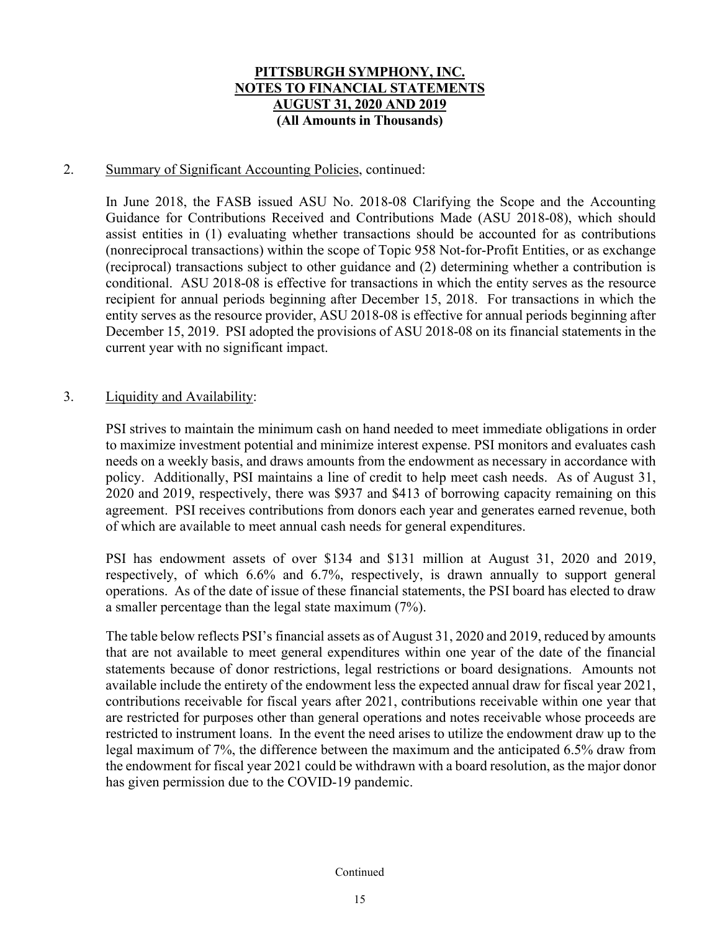#### 2. Summary of Significant Accounting Policies, continued:

In June 2018, the FASB issued ASU No. 2018-08 Clarifying the Scope and the Accounting Guidance for Contributions Received and Contributions Made (ASU 2018-08), which should assist entities in (1) evaluating whether transactions should be accounted for as contributions (nonreciprocal transactions) within the scope of Topic 958 Not-for-Profit Entities, or as exchange (reciprocal) transactions subject to other guidance and (2) determining whether a contribution is conditional. ASU 2018-08 is effective for transactions in which the entity serves as the resource recipient for annual periods beginning after December 15, 2018. For transactions in which the entity serves as the resource provider, ASU 2018-08 is effective for annual periods beginning after December 15, 2019. PSI adopted the provisions of ASU 2018-08 on its financial statements in the current year with no significant impact.

### 3. Liquidity and Availability:

PSI strives to maintain the minimum cash on hand needed to meet immediate obligations in order to maximize investment potential and minimize interest expense. PSI monitors and evaluates cash needs on a weekly basis, and draws amounts from the endowment as necessary in accordance with policy. Additionally, PSI maintains a line of credit to help meet cash needs. As of August 31, 2020 and 2019, respectively, there was \$937 and \$413 of borrowing capacity remaining on this agreement. PSI receives contributions from donors each year and generates earned revenue, both of which are available to meet annual cash needs for general expenditures.

PSI has endowment assets of over \$134 and \$131 million at August 31, 2020 and 2019, respectively, of which 6.6% and 6.7%, respectively, is drawn annually to support general operations. As of the date of issue of these financial statements, the PSI board has elected to draw a smaller percentage than the legal state maximum (7%).

The table below reflects PSI's financial assets as of August 31, 2020 and 2019, reduced by amounts that are not available to meet general expenditures within one year of the date of the financial statements because of donor restrictions, legal restrictions or board designations. Amounts not available include the entirety of the endowment less the expected annual draw for fiscal year 2021, contributions receivable for fiscal years after 2021, contributions receivable within one year that are restricted for purposes other than general operations and notes receivable whose proceeds are restricted to instrument loans. In the event the need arises to utilize the endowment draw up to the legal maximum of 7%, the difference between the maximum and the anticipated 6.5% draw from the endowment for fiscal year 2021 could be withdrawn with a board resolution, as the major donor has given permission due to the COVID-19 pandemic.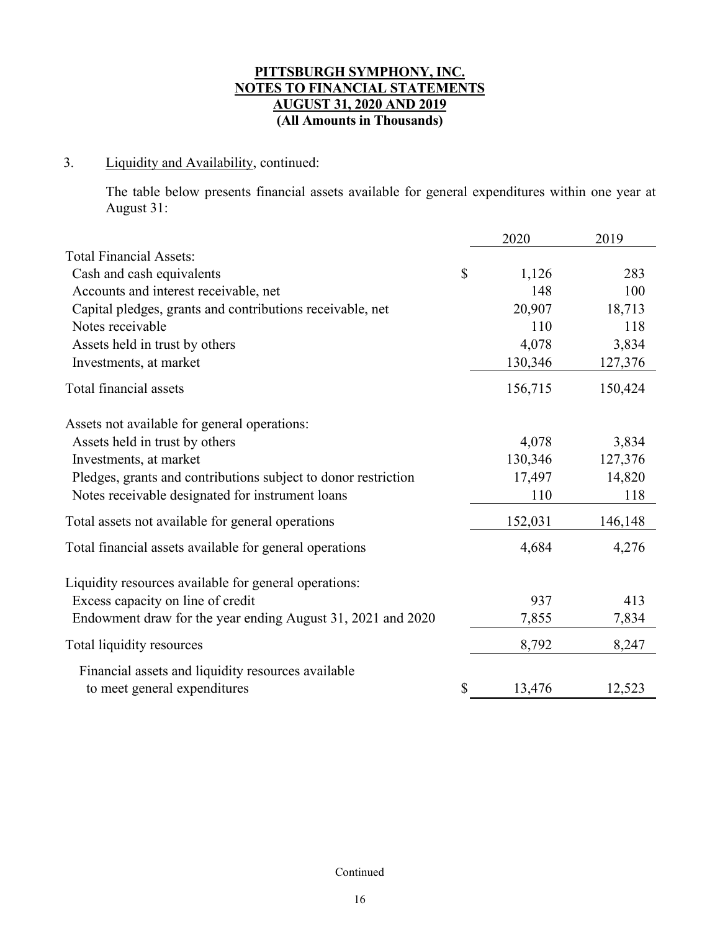### 3. Liquidity and Availability, continued:

The table below presents financial assets available for general expenditures within one year at August 31:

|                                                                | 2020         | 2019    |
|----------------------------------------------------------------|--------------|---------|
| <b>Total Financial Assets:</b>                                 |              |         |
| Cash and cash equivalents                                      | \$<br>1,126  | 283     |
| Accounts and interest receivable, net                          | 148          | 100     |
| Capital pledges, grants and contributions receivable, net      | 20,907       | 18,713  |
| Notes receivable                                               | 110          | 118     |
| Assets held in trust by others                                 | 4,078        | 3,834   |
| Investments, at market                                         | 130,346      | 127,376 |
| Total financial assets                                         | 156,715      | 150,424 |
| Assets not available for general operations:                   |              |         |
| Assets held in trust by others                                 | 4,078        | 3,834   |
| Investments, at market                                         | 130,346      | 127,376 |
| Pledges, grants and contributions subject to donor restriction | 17,497       | 14,820  |
| Notes receivable designated for instrument loans               | 110          | 118     |
| Total assets not available for general operations              | 152,031      | 146,148 |
| Total financial assets available for general operations        | 4,684        | 4,276   |
| Liquidity resources available for general operations:          |              |         |
| Excess capacity on line of credit                              | 937          | 413     |
| Endowment draw for the year ending August 31, 2021 and 2020    | 7,855        | 7,834   |
| Total liquidity resources                                      | 8,792        | 8,247   |
| Financial assets and liquidity resources available             |              |         |
| to meet general expenditures                                   | \$<br>13,476 | 12,523  |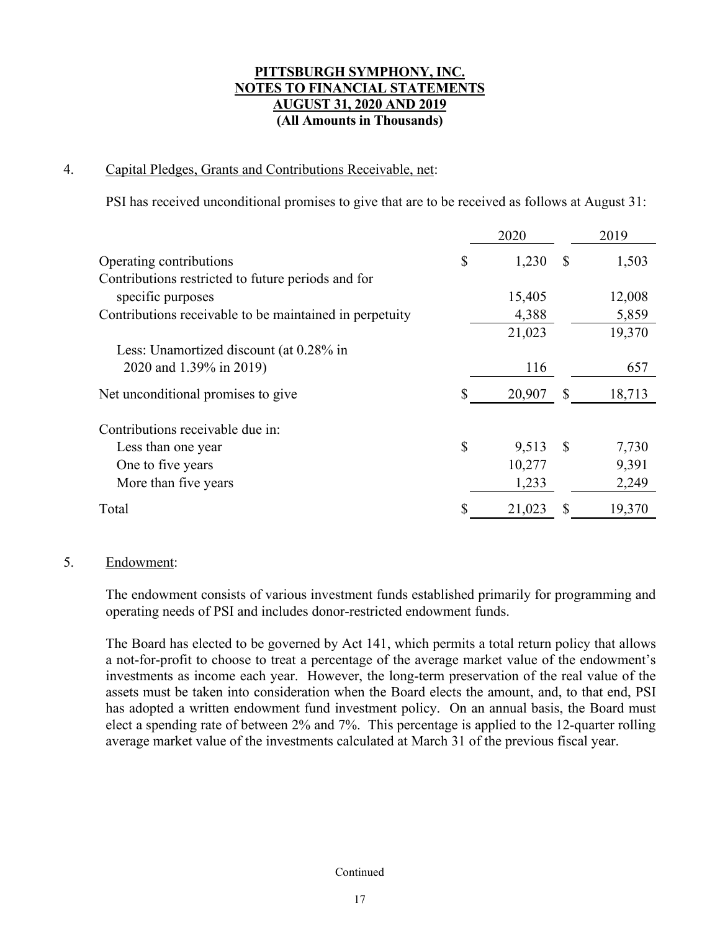### 4. Capital Pledges, Grants and Contributions Receivable, net:

PSI has received unconditional promises to give that are to be received as follows at August 31:

|                                                         |    | 2020   |               | 2019   |
|---------------------------------------------------------|----|--------|---------------|--------|
| Operating contributions                                 | \$ | 1,230  | S             | 1,503  |
| Contributions restricted to future periods and for      |    |        |               |        |
| specific purposes                                       |    | 15,405 |               | 12,008 |
| Contributions receivable to be maintained in perpetuity |    | 4,388  |               | 5,859  |
|                                                         |    | 21,023 |               | 19,370 |
| Less: Unamortized discount (at 0.28% in                 |    |        |               |        |
| 2020 and 1.39% in 2019)                                 |    | 116    |               | 657    |
| Net unconditional promises to give                      |    | 20,907 | <sup>\$</sup> | 18,713 |
| Contributions receivable due in:                        |    |        |               |        |
| Less than one year                                      | \$ | 9,513  | <sup>S</sup>  | 7,730  |
| One to five years                                       |    | 10,277 |               | 9,391  |
| More than five years                                    |    | 1,233  |               | 2,249  |
| Total                                                   | S  | 21,023 | S             | 19,370 |

### 5. Endowment:

The endowment consists of various investment funds established primarily for programming and operating needs of PSI and includes donor-restricted endowment funds.

The Board has elected to be governed by Act 141, which permits a total return policy that allows a not-for-profit to choose to treat a percentage of the average market value of the endowment's investments as income each year. However, the long-term preservation of the real value of the assets must be taken into consideration when the Board elects the amount, and, to that end, PSI has adopted a written endowment fund investment policy. On an annual basis, the Board must elect a spending rate of between 2% and 7%. This percentage is applied to the 12-quarter rolling average market value of the investments calculated at March 31 of the previous fiscal year.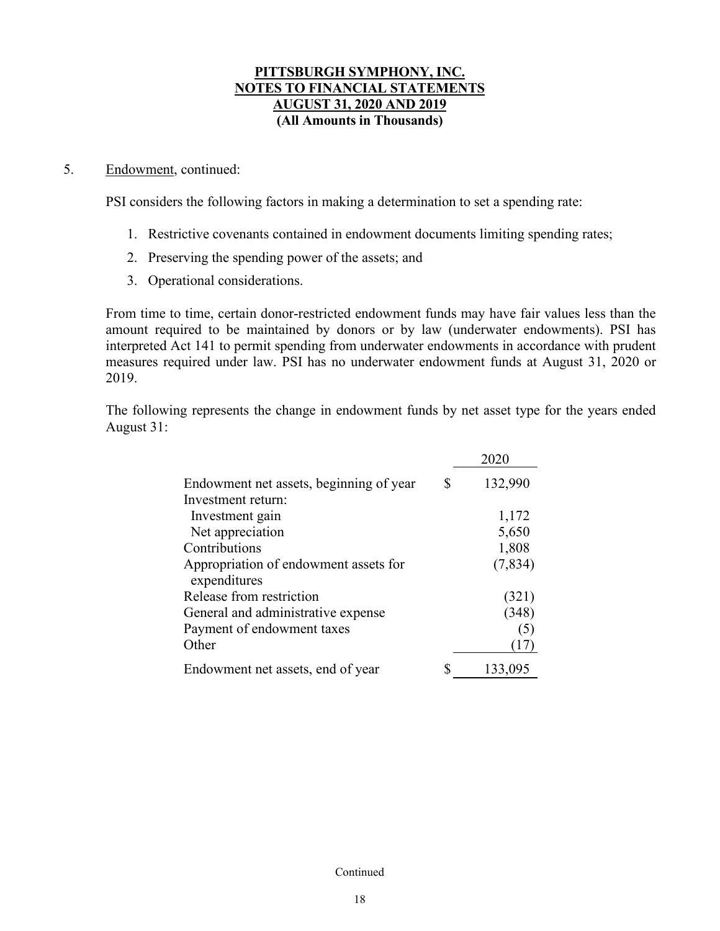#### 5. Endowment, continued:

PSI considers the following factors in making a determination to set a spending rate:

- 1. Restrictive covenants contained in endowment documents limiting spending rates;
- 2. Preserving the spending power of the assets; and
- 3. Operational considerations.

From time to time, certain donor-restricted endowment funds may have fair values less than the amount required to be maintained by donors or by law (underwater endowments). PSI has interpreted Act 141 to permit spending from underwater endowments in accordance with prudent measures required under law. PSI has no underwater endowment funds at August 31, 2020 or 2019.

The following represents the change in endowment funds by net asset type for the years ended August 31:

|                                                       |   | 2020    |
|-------------------------------------------------------|---|---------|
| Endowment net assets, beginning of year               | S | 132,990 |
| Investment return:                                    |   |         |
| Investment gain                                       |   | 1,172   |
| Net appreciation                                      |   | 5,650   |
| Contributions                                         |   | 1,808   |
| Appropriation of endowment assets for<br>expenditures |   | (7,834) |
| Release from restriction                              |   | (321)   |
| General and administrative expense                    |   | (348)   |
| Payment of endowment taxes                            |   | (5)     |
| Other                                                 |   |         |
| Endowment net assets, end of year                     |   | 133,095 |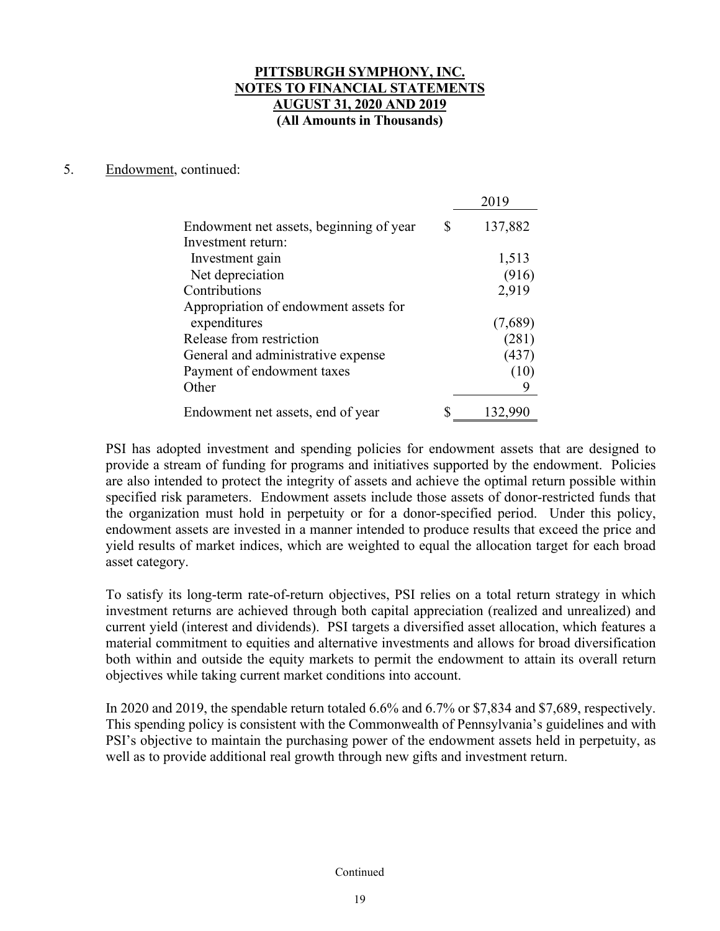#### 5. Endowment, continued:

|                                         |   | 2019    |
|-----------------------------------------|---|---------|
| Endowment net assets, beginning of year | S | 137,882 |
| Investment return:                      |   |         |
| Investment gain                         |   | 1,513   |
| Net depreciation                        |   | (916)   |
| Contributions                           |   | 2,919   |
| Appropriation of endowment assets for   |   |         |
| expenditures                            |   | (7,689) |
| Release from restriction                |   | (281)   |
| General and administrative expense      |   | (437)   |
| Payment of endowment taxes              |   | (10)    |
| Other                                   |   |         |
| Endowment net assets, end of year       |   | 132,990 |

PSI has adopted investment and spending policies for endowment assets that are designed to provide a stream of funding for programs and initiatives supported by the endowment. Policies are also intended to protect the integrity of assets and achieve the optimal return possible within specified risk parameters. Endowment assets include those assets of donor-restricted funds that the organization must hold in perpetuity or for a donor-specified period. Under this policy, endowment assets are invested in a manner intended to produce results that exceed the price and yield results of market indices, which are weighted to equal the allocation target for each broad asset category.

To satisfy its long-term rate-of-return objectives, PSI relies on a total return strategy in which investment returns are achieved through both capital appreciation (realized and unrealized) and current yield (interest and dividends). PSI targets a diversified asset allocation, which features a material commitment to equities and alternative investments and allows for broad diversification both within and outside the equity markets to permit the endowment to attain its overall return objectives while taking current market conditions into account.

In 2020 and 2019, the spendable return totaled 6.6% and 6.7% or \$7,834 and \$7,689, respectively. This spending policy is consistent with the Commonwealth of Pennsylvania's guidelines and with PSI's objective to maintain the purchasing power of the endowment assets held in perpetuity, as well as to provide additional real growth through new gifts and investment return.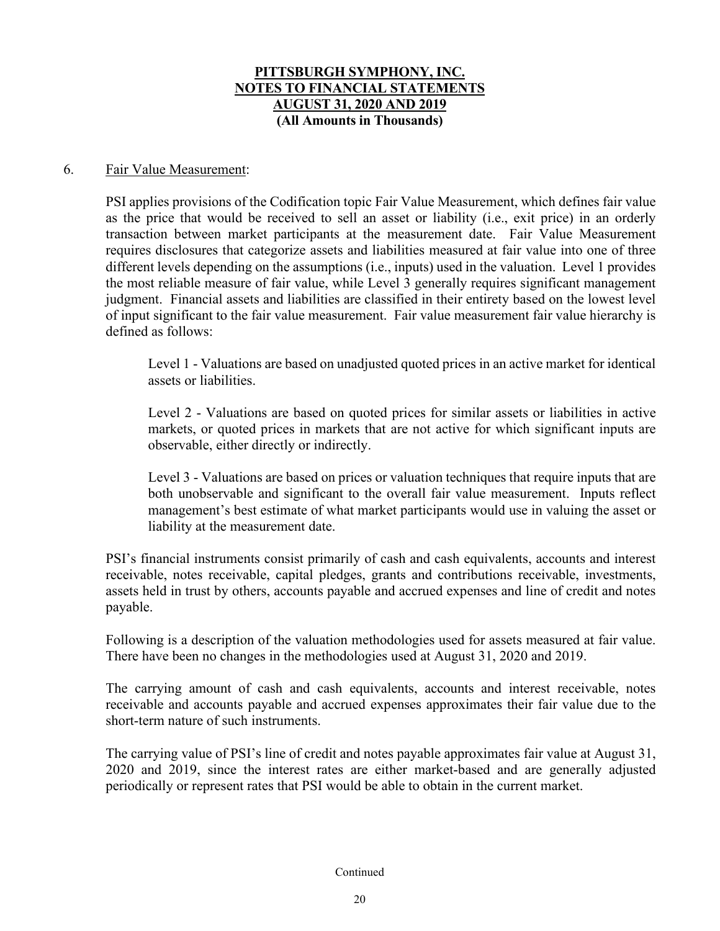#### 6. Fair Value Measurement:

PSI applies provisions of the Codification topic Fair Value Measurement, which defines fair value as the price that would be received to sell an asset or liability (i.e., exit price) in an orderly transaction between market participants at the measurement date. Fair Value Measurement requires disclosures that categorize assets and liabilities measured at fair value into one of three different levels depending on the assumptions (i.e., inputs) used in the valuation. Level 1 provides the most reliable measure of fair value, while Level 3 generally requires significant management judgment. Financial assets and liabilities are classified in their entirety based on the lowest level of input significant to the fair value measurement. Fair value measurement fair value hierarchy is defined as follows:

Level 1 - Valuations are based on unadjusted quoted prices in an active market for identical assets or liabilities.

Level 2 - Valuations are based on quoted prices for similar assets or liabilities in active markets, or quoted prices in markets that are not active for which significant inputs are observable, either directly or indirectly.

Level 3 - Valuations are based on prices or valuation techniques that require inputs that are both unobservable and significant to the overall fair value measurement. Inputs reflect management's best estimate of what market participants would use in valuing the asset or liability at the measurement date.

PSI's financial instruments consist primarily of cash and cash equivalents, accounts and interest receivable, notes receivable, capital pledges, grants and contributions receivable, investments, assets held in trust by others, accounts payable and accrued expenses and line of credit and notes payable.

Following is a description of the valuation methodologies used for assets measured at fair value. There have been no changes in the methodologies used at August 31, 2020 and 2019.

The carrying amount of cash and cash equivalents, accounts and interest receivable, notes receivable and accounts payable and accrued expenses approximates their fair value due to the short-term nature of such instruments.

The carrying value of PSI's line of credit and notes payable approximates fair value at August 31, 2020 and 2019, since the interest rates are either market-based and are generally adjusted periodically or represent rates that PSI would be able to obtain in the current market.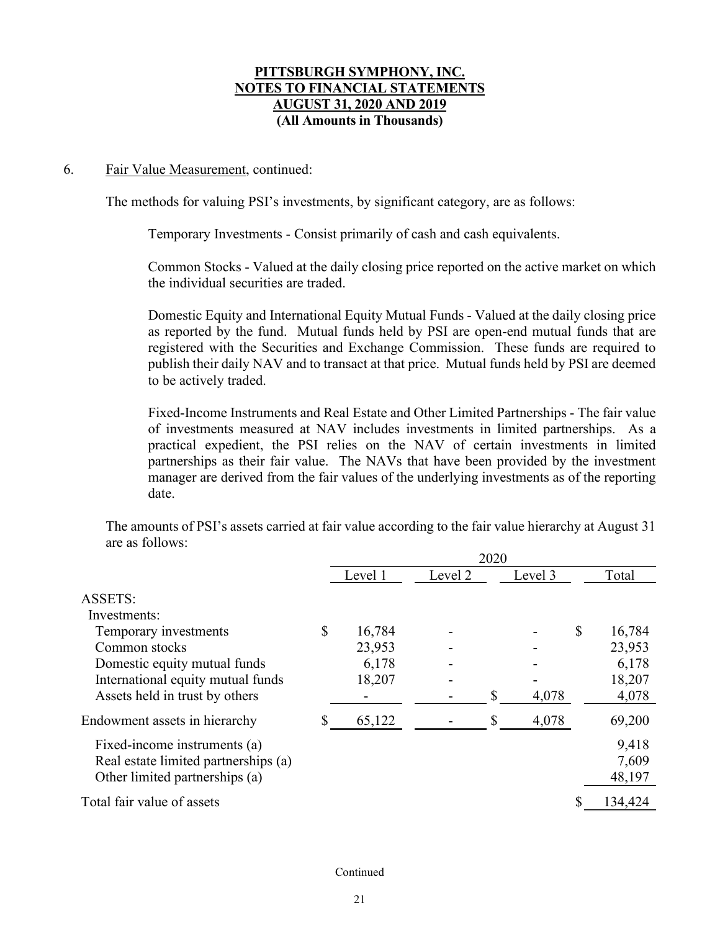#### 6. Fair Value Measurement, continued:

The methods for valuing PSI's investments, by significant category, are as follows:

Temporary Investments - Consist primarily of cash and cash equivalents.

Common Stocks - Valued at the daily closing price reported on the active market on which the individual securities are traded.

Domestic Equity and International Equity Mutual Funds - Valued at the daily closing price as reported by the fund. Mutual funds held by PSI are open-end mutual funds that are registered with the Securities and Exchange Commission. These funds are required to publish their daily NAV and to transact at that price. Mutual funds held by PSI are deemed to be actively traded.

Fixed-Income Instruments and Real Estate and Other Limited Partnerships - The fair value of investments measured at NAV includes investments in limited partnerships. As a practical expedient, the PSI relies on the NAV of certain investments in limited partnerships as their fair value. The NAVs that have been provided by the investment manager are derived from the fair values of the underlying investments as of the reporting date.

The amounts of PSI's assets carried at fair value according to the fair value hierarchy at August 31 are as follows:

|                                      | 2020    |         |    |         |              |         |
|--------------------------------------|---------|---------|----|---------|--------------|---------|
|                                      | Level 1 | Level 2 |    | Level 3 |              | Total   |
| <b>ASSETS:</b>                       |         |         |    |         |              |         |
| Investments:                         |         |         |    |         |              |         |
| \$<br>Temporary investments          | 16,784  |         |    |         | $\mathbb{S}$ | 16,784  |
| Common stocks                        | 23,953  |         |    |         |              | 23,953  |
| Domestic equity mutual funds         | 6,178   |         |    |         |              | 6,178   |
| International equity mutual funds    | 18,207  |         |    |         |              | 18,207  |
| Assets held in trust by others       |         |         | \$ | 4,078   |              | 4,078   |
| Endowment assets in hierarchy        | 65,122  |         |    | 4,078   |              | 69,200  |
| Fixed-income instruments (a)         |         |         |    |         |              | 9,418   |
| Real estate limited partnerships (a) |         |         |    |         |              | 7,609   |
| Other limited partnerships (a)       |         |         |    |         |              | 48,197  |
| Total fair value of assets           |         |         |    |         | S            | 134,424 |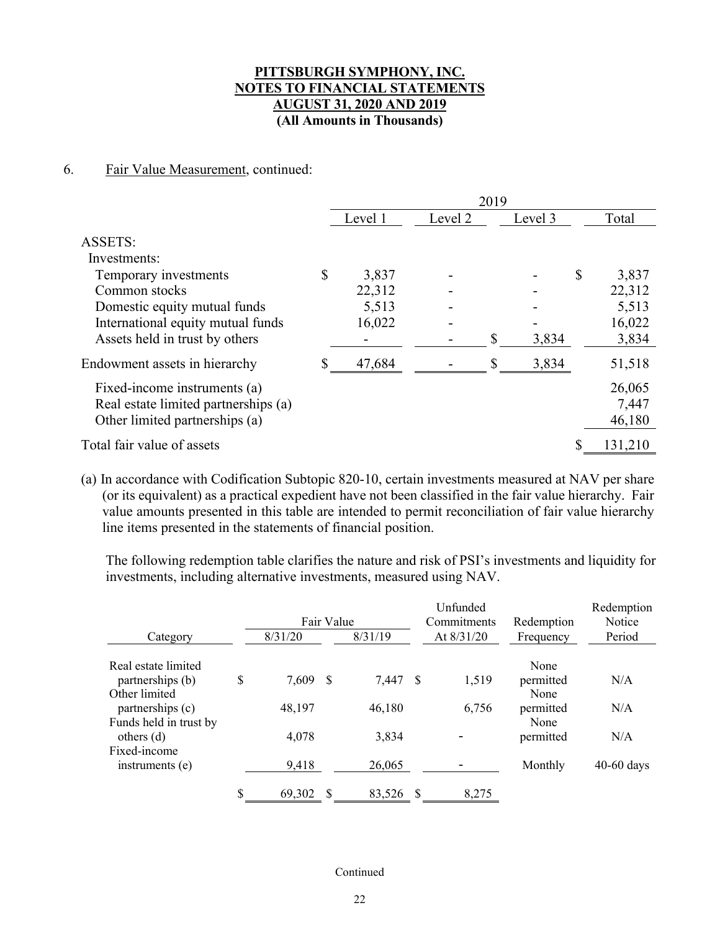#### 6. Fair Value Measurement, continued:

|                                      |             |         | 2019 |         |             |
|--------------------------------------|-------------|---------|------|---------|-------------|
|                                      | Level 1     | Level 2 |      | Level 3 | Total       |
| <b>ASSETS:</b>                       |             |         |      |         |             |
| Investments:                         |             |         |      |         |             |
| Temporary investments                | \$<br>3,837 |         |      |         | \$<br>3,837 |
| Common stocks                        | 22,312      |         |      |         | 22,312      |
| Domestic equity mutual funds         | 5,513       |         |      |         | 5,513       |
| International equity mutual funds    | 16,022      |         |      |         | 16,022      |
| Assets held in trust by others       |             |         | \$   | 3,834   | 3,834       |
| Endowment assets in hierarchy        | 47,684      |         | \$   | 3,834   | 51,518      |
| Fixed-income instruments (a)         |             |         |      |         | 26,065      |
| Real estate limited partnerships (a) |             |         |      |         | 7,447       |
| Other limited partnerships (a)       |             |         |      |         | 46,180      |
| Total fair value of assets           |             |         |      |         | 131,210     |

(a) In accordance with Codification Subtopic 820-10, certain investments measured at NAV per share (or its equivalent) as a practical expedient have not been classified in the fair value hierarchy. Fair value amounts presented in this table are intended to permit reconciliation of fair value hierarchy line items presented in the statements of financial position.

The following redemption table clarifies the nature and risk of PSI's investments and liquidity for investments, including alternative investments, measured using NAV.

|                                            |              | Fair Value    |          |      | Unfunded<br>Commitments | Redemption        | Redemption<br>Notice |  |
|--------------------------------------------|--------------|---------------|----------|------|-------------------------|-------------------|----------------------|--|
| Category                                   | 8/31/20      |               | 8/31/19  |      | At 8/31/20              | Frequency         | Period               |  |
| Real estate limited                        |              |               |          |      |                         | None              |                      |  |
| partnerships (b)<br>Other limited          | \$<br>7,609  | \$            | 7,447 \$ |      | 1,519                   | permitted<br>None | N/A                  |  |
| partnerships (c)<br>Funds held in trust by | 48,197       |               | 46,180   |      | 6,756                   | permitted<br>None | N/A                  |  |
| others $(d)$                               | 4,078        |               | 3,834    |      |                         | permitted         | N/A                  |  |
| Fixed-income<br>instruments (e)            | 9,418        |               | 26,065   |      |                         | Monthly           | $40-60$ days         |  |
|                                            | \$<br>69,302 | <sup>\$</sup> | 83,526   | - \$ | 8,275                   |                   |                      |  |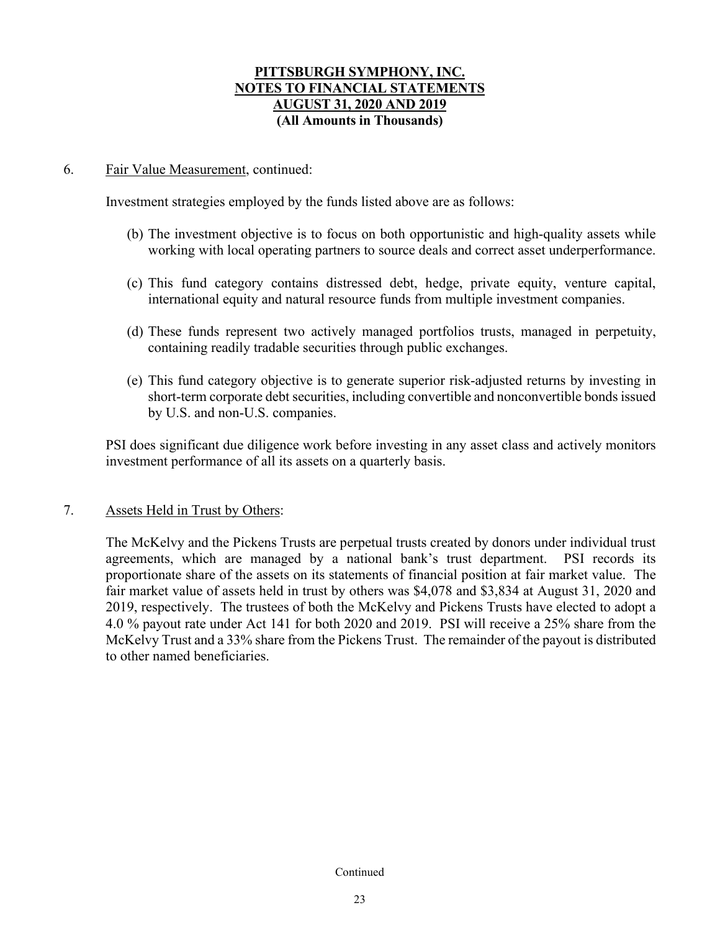### 6. Fair Value Measurement, continued:

Investment strategies employed by the funds listed above are as follows:

- (b) The investment objective is to focus on both opportunistic and high-quality assets while working with local operating partners to source deals and correct asset underperformance.
- (c) This fund category contains distressed debt, hedge, private equity, venture capital, international equity and natural resource funds from multiple investment companies.
- (d) These funds represent two actively managed portfolios trusts, managed in perpetuity, containing readily tradable securities through public exchanges.
- (e) This fund category objective is to generate superior risk-adjusted returns by investing in short-term corporate debt securities, including convertible and nonconvertible bonds issued by U.S. and non-U.S. companies.

PSI does significant due diligence work before investing in any asset class and actively monitors investment performance of all its assets on a quarterly basis.

### 7. Assets Held in Trust by Others:

The McKelvy and the Pickens Trusts are perpetual trusts created by donors under individual trust agreements, which are managed by a national bank's trust department. PSI records its proportionate share of the assets on its statements of financial position at fair market value. The fair market value of assets held in trust by others was \$4,078 and \$3,834 at August 31, 2020 and 2019, respectively. The trustees of both the McKelvy and Pickens Trusts have elected to adopt a 4.0 % payout rate under Act 141 for both 2020 and 2019. PSI will receive a 25% share from the McKelvy Trust and a 33% share from the Pickens Trust. The remainder of the payout is distributed to other named beneficiaries.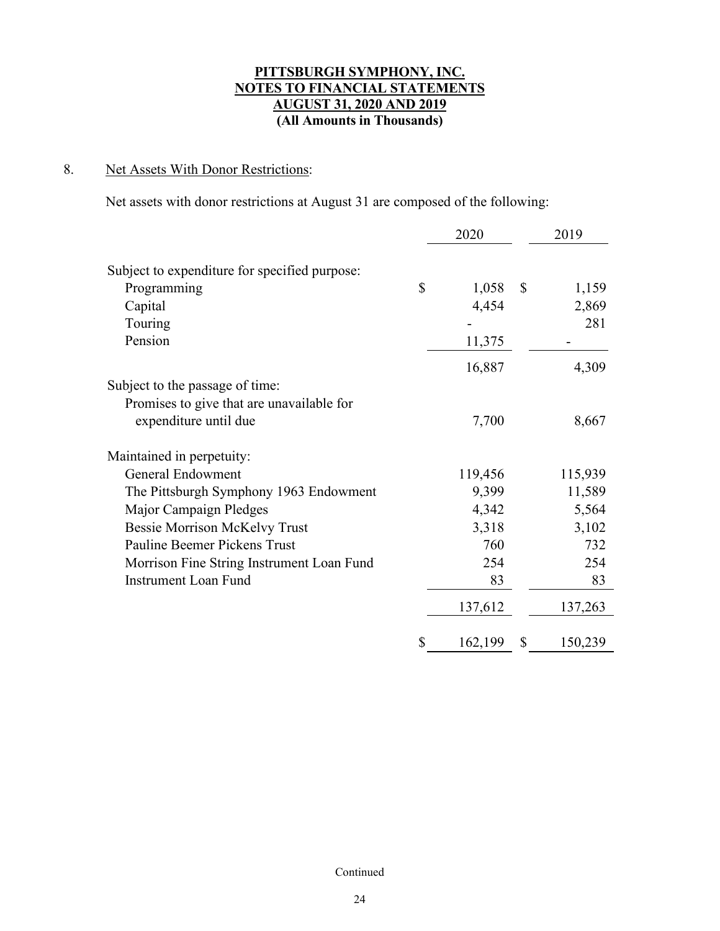## 8. Net Assets With Donor Restrictions:

Net assets with donor restrictions at August 31 are composed of the following:

|                                               | 2020          |              | 2019    |
|-----------------------------------------------|---------------|--------------|---------|
| Subject to expenditure for specified purpose: |               |              |         |
| Programming                                   | \$<br>1,058   | $\mathbb{S}$ | 1,159   |
| Capital                                       | 4,454         |              | 2,869   |
| Touring                                       |               |              | 281     |
| Pension                                       | 11,375        |              |         |
|                                               | 16,887        |              | 4,309   |
| Subject to the passage of time:               |               |              |         |
| Promises to give that are unavailable for     |               |              |         |
| expenditure until due                         | 7,700         |              | 8,667   |
| Maintained in perpetuity:                     |               |              |         |
| <b>General Endowment</b>                      | 119,456       |              | 115,939 |
| The Pittsburgh Symphony 1963 Endowment        | 9,399         |              | 11,589  |
| Major Campaign Pledges                        | 4,342         |              | 5,564   |
| <b>Bessie Morrison McKelvy Trust</b>          | 3,318         |              | 3,102   |
| Pauline Beemer Pickens Trust                  | 760           |              | 732     |
| Morrison Fine String Instrument Loan Fund     | 254           |              | 254     |
| <b>Instrument Loan Fund</b>                   | 83            |              | 83      |
|                                               | 137,612       |              | 137,263 |
|                                               | \$<br>162,199 | \$           | 150,239 |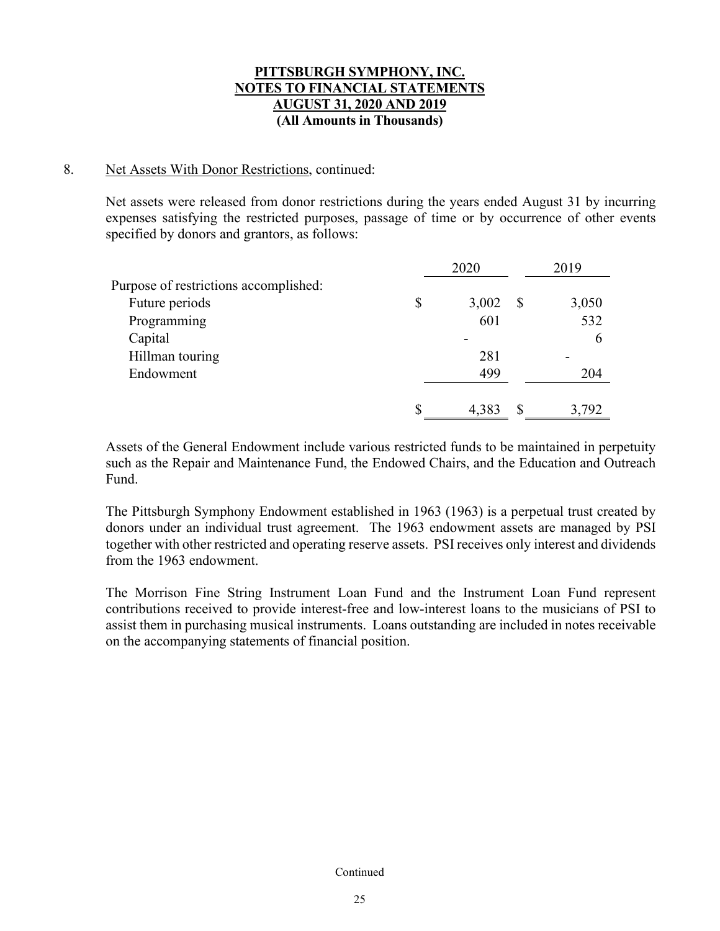#### 8. Net Assets With Donor Restrictions, continued:

Net assets were released from donor restrictions during the years ended August 31 by incurring expenses satisfying the restricted purposes, passage of time or by occurrence of other events specified by donors and grantors, as follows:

|                                       | 2020             | 2019  |
|---------------------------------------|------------------|-------|
| Purpose of restrictions accomplished: |                  |       |
| Future periods                        | \$<br>3,002<br>S | 3,050 |
| Programming                           | 601              | 532   |
| Capital                               |                  | 6     |
| Hillman touring                       | 281              |       |
| Endowment                             | 499              | 204   |
|                                       |                  |       |
|                                       | 4,383            | 3,792 |

Assets of the General Endowment include various restricted funds to be maintained in perpetuity such as the Repair and Maintenance Fund, the Endowed Chairs, and the Education and Outreach Fund.

The Pittsburgh Symphony Endowment established in 1963 (1963) is a perpetual trust created by donors under an individual trust agreement. The 1963 endowment assets are managed by PSI together with other restricted and operating reserve assets. PSI receives only interest and dividends from the 1963 endowment.

The Morrison Fine String Instrument Loan Fund and the Instrument Loan Fund represent contributions received to provide interest-free and low-interest loans to the musicians of PSI to assist them in purchasing musical instruments. Loans outstanding are included in notes receivable on the accompanying statements of financial position.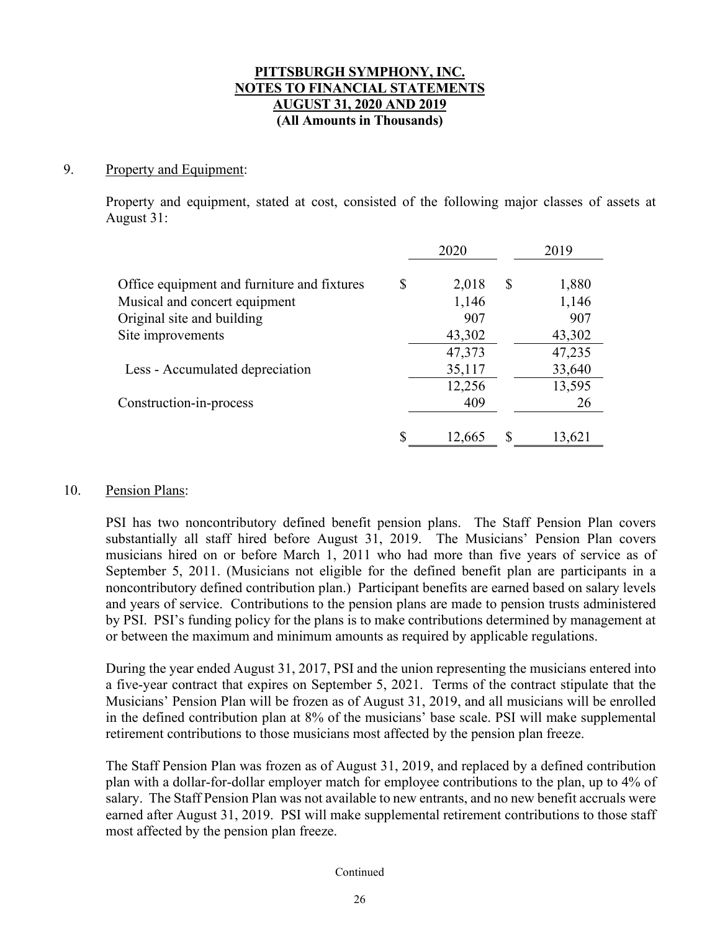### 9. Property and Equipment:

Property and equipment, stated at cost, consisted of the following major classes of assets at August 31:

|                                             | 2020         | 2019         |
|---------------------------------------------|--------------|--------------|
| Office equipment and furniture and fixtures | \$<br>2,018  | \$<br>1,880  |
| Musical and concert equipment               | 1,146        | 1,146        |
| Original site and building                  | 907          | 907          |
| Site improvements                           | 43,302       | 43,302       |
|                                             | 47,373       | 47,235       |
| Less - Accumulated depreciation             | 35,117       | 33,640       |
|                                             | 12,256       | 13,595       |
| Construction-in-process                     | 409          | 26           |
|                                             |              |              |
|                                             | \$<br>12,665 | \$<br>13,621 |

### 10. Pension Plans:

PSI has two noncontributory defined benefit pension plans. The Staff Pension Plan covers substantially all staff hired before August 31, 2019. The Musicians' Pension Plan covers musicians hired on or before March 1, 2011 who had more than five years of service as of September 5, 2011. (Musicians not eligible for the defined benefit plan are participants in a noncontributory defined contribution plan.) Participant benefits are earned based on salary levels and years of service. Contributions to the pension plans are made to pension trusts administered by PSI. PSI's funding policy for the plans is to make contributions determined by management at or between the maximum and minimum amounts as required by applicable regulations.

During the year ended August 31, 2017, PSI and the union representing the musicians entered into a five-year contract that expires on September 5, 2021. Terms of the contract stipulate that the Musicians' Pension Plan will be frozen as of August 31, 2019, and all musicians will be enrolled in the defined contribution plan at 8% of the musicians' base scale. PSI will make supplemental retirement contributions to those musicians most affected by the pension plan freeze.

The Staff Pension Plan was frozen as of August 31, 2019, and replaced by a defined contribution plan with a dollar-for-dollar employer match for employee contributions to the plan, up to 4% of salary. The Staff Pension Plan was not available to new entrants, and no new benefit accruals were earned after August 31, 2019. PSI will make supplemental retirement contributions to those staff most affected by the pension plan freeze.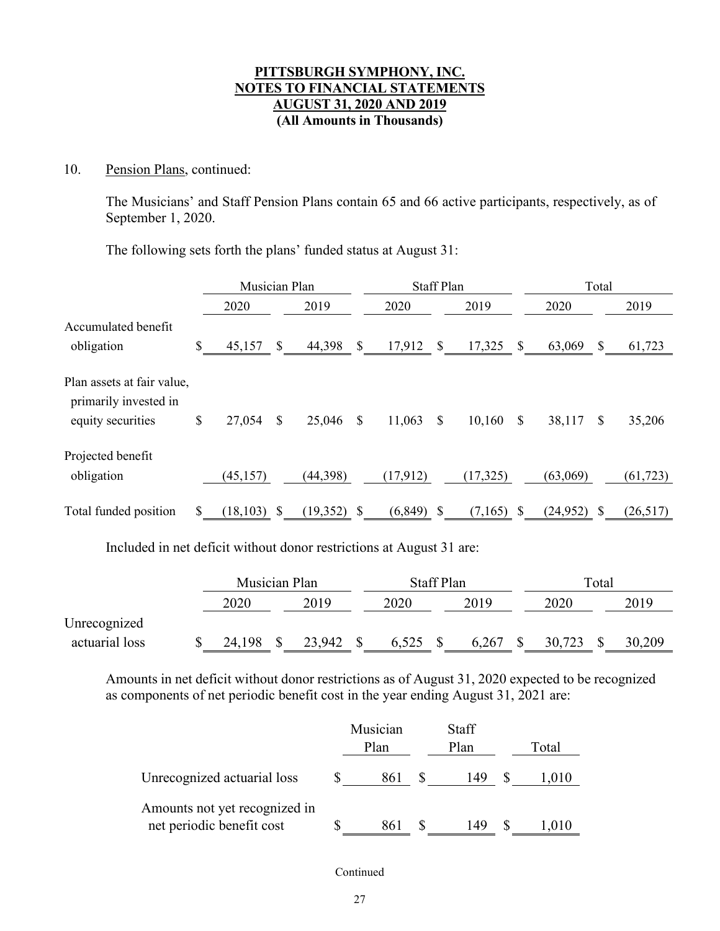#### 10. Pension Plans, continued:

The Musicians' and Staff Pension Plans contain 65 and 66 active participants, respectively, as of September 1, 2020.

The following sets forth the plans' funded status at August 31:

|                                                     |    | Musician Plan |    |           |               | <b>Staff Plan</b> |    |           | Total        |           |               |           |
|-----------------------------------------------------|----|---------------|----|-----------|---------------|-------------------|----|-----------|--------------|-----------|---------------|-----------|
|                                                     |    | 2020          |    | 2019      |               | 2020              |    | 2019      |              | 2020      |               | 2019      |
| Accumulated benefit<br>obligation                   | \$ | 45,157        | \$ | 44,398    | $\mathcal{S}$ | 17,912            | \$ | 17,325    | \$           | 63,069    | \$            | 61,723    |
| Plan assets at fair value,<br>primarily invested in |    |               |    |           |               |                   |    |           |              |           |               |           |
| equity securities                                   | \$ | 27,054        | \$ | 25,046    | $\mathcal{S}$ | 11,063            | \$ | 10,160    | $\mathbb{S}$ | 38,117    | <sup>\$</sup> | 35,206    |
| Projected benefit                                   |    |               |    |           |               |                   |    |           |              |           |               |           |
| obligation                                          |    | (45, 157)     |    | (44,398)  |               | (17, 912)         |    | (17, 325) |              | (63,069)  |               | (61, 723) |
| Total funded position                               | S  | (18, 103)     | -S | (19, 352) | $\mathcal{S}$ | (6, 849)          | S  | (7,165)   | -8           | (24, 952) | <sup>S</sup>  | (26,517)  |

Included in net deficit without donor restrictions at August 31 are:

|                | Musician Plan     |  |        | <b>Staff Plan</b> |    | Total |        |  |        |
|----------------|-------------------|--|--------|-------------------|----|-------|--------|--|--------|
|                | 2020              |  | 2019   | 2020              |    | 2019  | 2020   |  | 2019   |
| Unrecognized   |                   |  |        |                   |    |       |        |  |        |
| actuarial loss | <b>198</b><br>24. |  | 23,942 | 6,525             | \$ | 6,267 | 30,723 |  | 30,209 |

Amounts in net deficit without donor restrictions as of August 31, 2020 expected to be recognized as components of net periodic benefit cost in the year ending August 31, 2021 are:

|                                                            | Musician<br>Plan | Staff<br>Plan | Total |
|------------------------------------------------------------|------------------|---------------|-------|
| Unrecognized actuarial loss                                | 861              | 149           | 1,010 |
| Amounts not yet recognized in<br>net periodic benefit cost | 861              | 149           | 1.010 |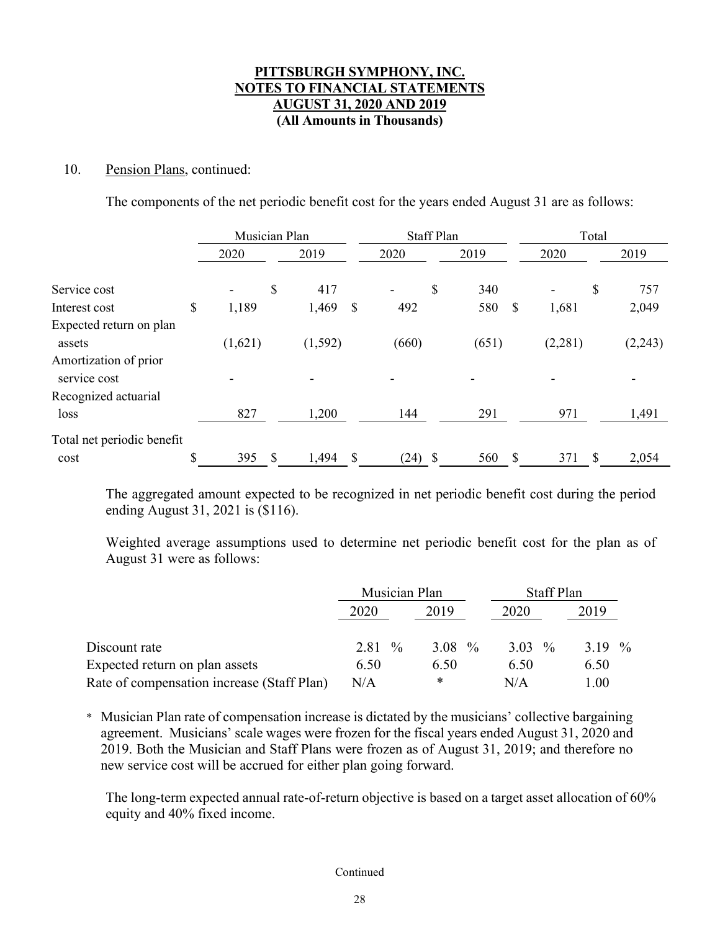#### 10. Pension Plans, continued:

The components of the net periodic benefit cost for the years ended August 31 are as follows:

|                            | Musician Plan |    |          |                           |                          | <b>Staff Plan</b> |                                  | Total     |         |  |
|----------------------------|---------------|----|----------|---------------------------|--------------------------|-------------------|----------------------------------|-----------|---------|--|
|                            | 2020          |    | 2019     |                           | 2020                     |                   | 2019                             | 2020      | 2019    |  |
| Service cost               |               | \$ | 417      |                           | $\overline{\phantom{a}}$ | \$                | 340                              | \$        | 757     |  |
| Interest cost              | \$<br>1,189   |    | 1,469    | $\boldsymbol{\mathsf{S}}$ | 492                      |                   | 580<br>$\boldsymbol{\mathsf{S}}$ | 1,681     | 2,049   |  |
| Expected return on plan    |               |    |          |                           |                          |                   |                                  |           |         |  |
| assets                     | (1,621)       |    | (1, 592) |                           | (660)                    |                   | (651)                            | (2,281)   | (2,243) |  |
| Amortization of prior      |               |    |          |                           |                          |                   |                                  |           |         |  |
| service cost               |               |    |          |                           |                          |                   |                                  |           |         |  |
| Recognized actuarial       |               |    |          |                           |                          |                   |                                  |           |         |  |
| loss                       | 827           |    | 1,200    |                           | 144                      |                   | 291                              | 971       | 1,491   |  |
| Total net periodic benefit |               |    |          |                           |                          |                   |                                  |           |         |  |
| cost                       | \$<br>395     | S  | 1,494    | \$                        | (24)                     | $\mathcal{S}$     | \$<br>560                        | \$<br>371 | 2,054   |  |

The aggregated amount expected to be recognized in net periodic benefit cost during the period ending August 31, 2021 is (\$116).

Weighted average assumptions used to determine net periodic benefit cost for the plan as of August 31 were as follows:

|                                            | Musician Plan |           | Staff Plan |           |  |
|--------------------------------------------|---------------|-----------|------------|-----------|--|
|                                            | 2020          | 2019      | 2020       | 2019      |  |
| Discount rate                              | $2.81\%$      | 3.08 $\%$ | 3.03 $\%$  | 3.19 $\%$ |  |
| Expected return on plan assets             | 6.50          | 6.50      | 6.50       | 6.50      |  |
| Rate of compensation increase (Staff Plan) | N/A           | *         | N/A        | 1.00      |  |

\* Musician Plan rate of compensation increase is dictated by the musicians' collective bargaining agreement. Musicians' scale wages were frozen for the fiscal years ended August 31, 2020 and 2019. Both the Musician and Staff Plans were frozen as of August 31, 2019; and therefore no new service cost will be accrued for either plan going forward.

The long-term expected annual rate-of-return objective is based on a target asset allocation of 60% equity and 40% fixed income.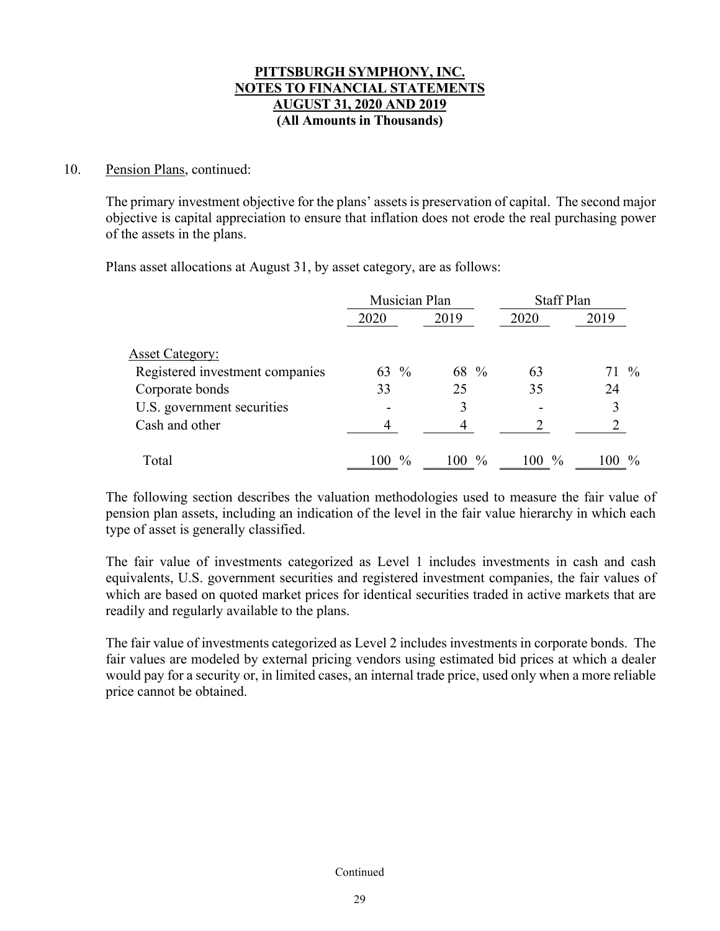#### 10. Pension Plans, continued:

The primary investment objective for the plans' assets is preservation of capital. The second major objective is capital appreciation to ensure that inflation does not erode the real purchasing power of the assets in the plans.

Plans asset allocations at August 31, by asset category, are as follows:

|                                 | Musician Plan          |         | <b>Staff Plan</b> |               |  |  |
|---------------------------------|------------------------|---------|-------------------|---------------|--|--|
|                                 | 2020                   | 2019    | 2020              | 2019          |  |  |
| <b>Asset Category:</b>          |                        |         |                   |               |  |  |
| Registered investment companies | 63 $\%$                | 68 %    | 63                | $71\%$        |  |  |
| Corporate bonds                 | 33                     | 25      | 35                | 24            |  |  |
| U.S. government securities      |                        |         |                   |               |  |  |
| Cash and other                  |                        | 4       |                   |               |  |  |
| Total                           | $\frac{0}{0}$<br>100 - | $100\%$ | $100\%$           | $\frac{0}{0}$ |  |  |

The following section describes the valuation methodologies used to measure the fair value of pension plan assets, including an indication of the level in the fair value hierarchy in which each type of asset is generally classified.

The fair value of investments categorized as Level 1 includes investments in cash and cash equivalents, U.S. government securities and registered investment companies, the fair values of which are based on quoted market prices for identical securities traded in active markets that are readily and regularly available to the plans.

The fair value of investments categorized as Level 2 includes investments in corporate bonds. The fair values are modeled by external pricing vendors using estimated bid prices at which a dealer would pay for a security or, in limited cases, an internal trade price, used only when a more reliable price cannot be obtained.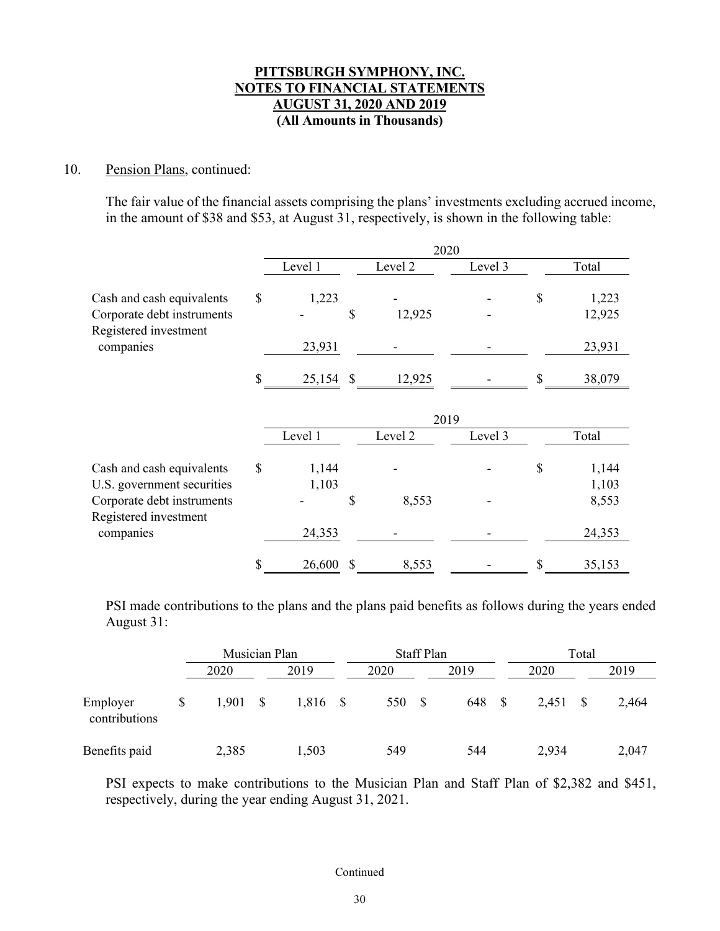#### 10. Pension Plans, continued:

The fair value of the financial assets comprising the plans' investments excluding accrued income, in the amount of \$38 and \$53, at August 31, respectively, is shown in the following table:

|                                                         |              |                |                           | 2020    |         |                       |
|---------------------------------------------------------|--------------|----------------|---------------------------|---------|---------|-----------------------|
|                                                         |              | Level 1        |                           | Level 2 | Level 3 | Total                 |
| Cash and cash equivalents<br>Corporate debt instruments | \$           | 1,223          | \$                        | 12,925  |         | \$<br>1,223<br>12,925 |
| Registered investment<br>companies                      |              | 23,931         |                           |         |         | 23,931                |
|                                                         | $\mathbb{S}$ | 25,154         | \$                        | 12,925  |         | \$<br>38,079          |
|                                                         |              |                |                           | 2019    |         |                       |
|                                                         |              | Level 1        |                           | Level 2 | Level 3 | Total                 |
| Cash and cash equivalents<br>U.S. government securities | \$           | 1,144<br>1,103 |                           |         |         | \$<br>1,144<br>1,103  |
| Corporate debt instruments<br>Registered investment     |              |                | \$                        | 8,553   |         | 8,553                 |
| companies                                               |              | 24,353         |                           |         |         | 24,353                |
|                                                         | \$           | 26,600         | $\boldsymbol{\mathsf{S}}$ | 8,553   |         | \$<br>35,153          |

PSI made contributions to the plans and the plans paid benefits as follows during the years ended August 31:

|                           | Musician Plan    |          |      |    | <b>Staff Plan</b> |  | Total |  |       |
|---------------------------|------------------|----------|------|----|-------------------|--|-------|--|-------|
|                           | 2020             | 2019     | 2020 |    | 2019              |  | 2020  |  | 2019  |
| Employer<br>contributions | $1,901 \quad$ \$ | 1,816 \$ | 550  | -8 | 648               |  | 2,451 |  | 2,464 |
| Benefits paid             | 2,385            | 1,503    | 549  |    | 544               |  | 2,934 |  | 2,047 |

PSI expects to make contributions to the Musician Plan and Staff Plan of \$2,382 and \$451, respectively, during the year ending August 31, 2021.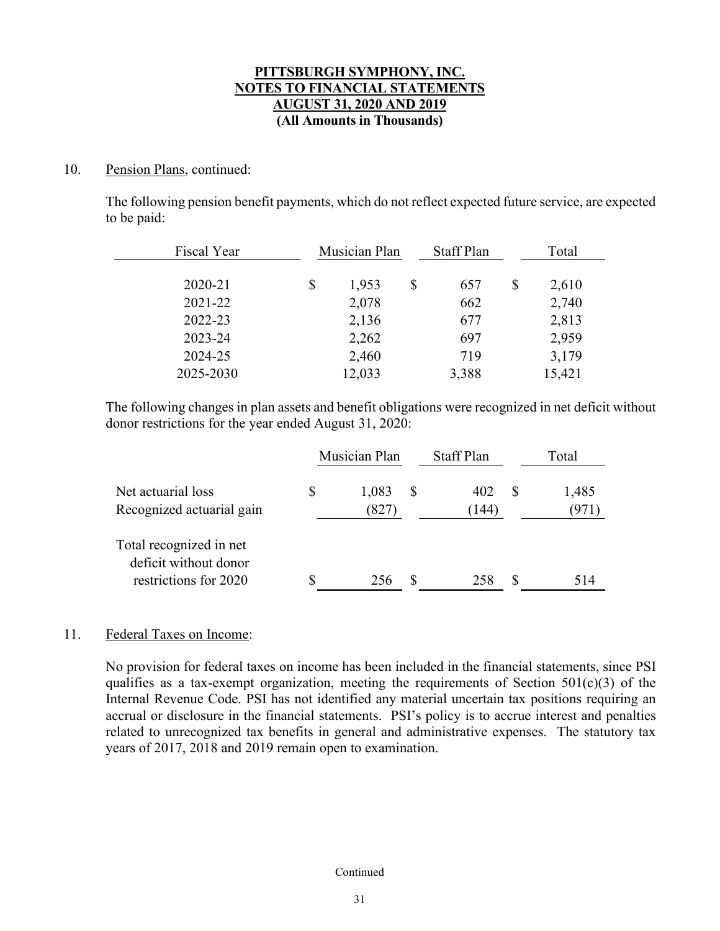#### 10. Pension Plans, continued:

The following pension benefit payments, which do not reflect expected future service, are expected to be paid:

| Fiscal Year | Musician Plan |        |    | <b>Staff Plan</b> | Total       |  |  |
|-------------|---------------|--------|----|-------------------|-------------|--|--|
| 2020-21     | \$            | 1,953  | \$ | 657               | \$<br>2,610 |  |  |
| 2021-22     |               | 2,078  |    | 662               | 2,740       |  |  |
| 2022-23     |               | 2,136  |    | 677               | 2,813       |  |  |
| 2023-24     |               | 2,262  |    | 697               | 2,959       |  |  |
| 2024-25     |               | 2,460  |    | 719               | 3,179       |  |  |
| 2025-2030   |               | 12,033 |    | 3,388             | 15,421      |  |  |

The following changes in plan assets and benefit obligations were recognized in net deficit without donor restrictions for the year ended August 31, 2020:

|                                                                           |    | Musician Plan  |    | <b>Staff Plan</b> | Total |              |  |
|---------------------------------------------------------------------------|----|----------------|----|-------------------|-------|--------------|--|
| Net actuarial loss<br>Recognized actuarial gain                           | \$ | 1,083<br>(827) | S  | 402<br>(144)      |       | 1,485<br>971 |  |
| Total recognized in net<br>deficit without donor<br>restrictions for 2020 | S  | 256            | S. | 258               |       | 514          |  |

### 11. Federal Taxes on Income:

No provision for federal taxes on income has been included in the financial statements, since PSI qualifies as a tax-exempt organization, meeting the requirements of Section  $501(c)(3)$  of the Internal Revenue Code. PSI has not identified any material uncertain tax positions requiring an accrual or disclosure in the financial statements. PSI's policy is to accrue interest and penalties related to unrecognized tax benefits in general and administrative expenses. The statutory tax years of 2017, 2018 and 2019 remain open to examination.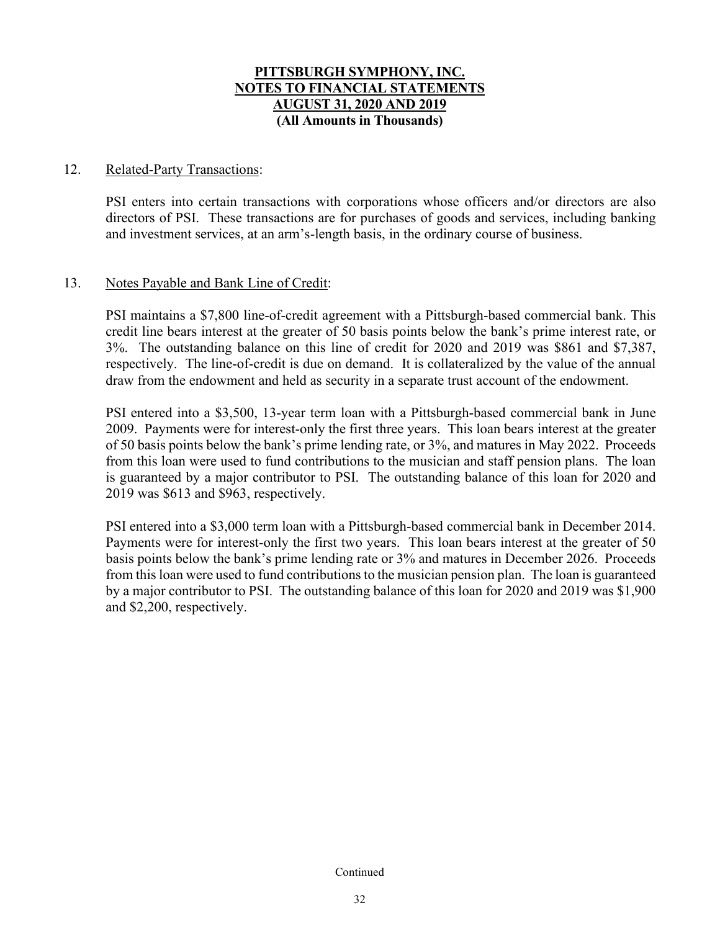#### 12. Related-Party Transactions:

PSI enters into certain transactions with corporations whose officers and/or directors are also directors of PSI. These transactions are for purchases of goods and services, including banking and investment services, at an arm's-length basis, in the ordinary course of business.

### 13. Notes Payable and Bank Line of Credit:

PSI maintains a \$7,800 line-of-credit agreement with a Pittsburgh-based commercial bank. This credit line bears interest at the greater of 50 basis points below the bank's prime interest rate, or 3%. The outstanding balance on this line of credit for 2020 and 2019 was \$861 and \$7,387, respectively. The line-of-credit is due on demand. It is collateralized by the value of the annual draw from the endowment and held as security in a separate trust account of the endowment.

PSI entered into a \$3,500, 13-year term loan with a Pittsburgh-based commercial bank in June 2009. Payments were for interest-only the first three years. This loan bears interest at the greater of 50 basis points below the bank's prime lending rate, or 3%, and matures in May 2022. Proceeds from this loan were used to fund contributions to the musician and staff pension plans. The loan is guaranteed by a major contributor to PSI. The outstanding balance of this loan for 2020 and 2019 was \$613 and \$963, respectively.

PSI entered into a \$3,000 term loan with a Pittsburgh-based commercial bank in December 2014. Payments were for interest-only the first two years. This loan bears interest at the greater of 50 basis points below the bank's prime lending rate or 3% and matures in December 2026. Proceeds from this loan were used to fund contributions to the musician pension plan. The loan is guaranteed by a major contributor to PSI. The outstanding balance of this loan for 2020 and 2019 was \$1,900 and \$2,200, respectively.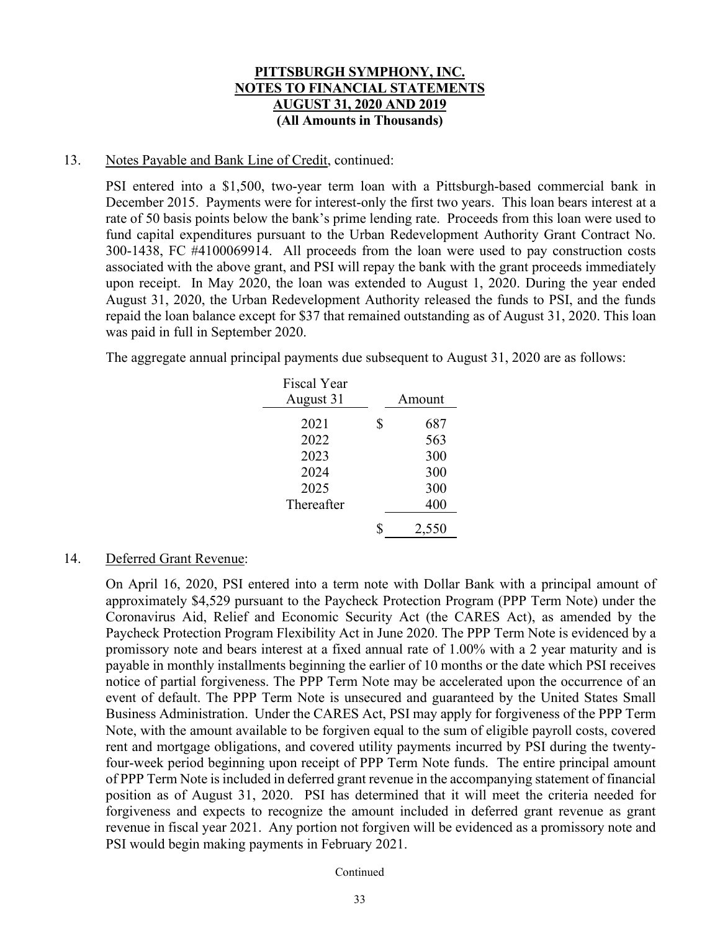### 13. Notes Payable and Bank Line of Credit, continued:

PSI entered into a \$1,500, two-year term loan with a Pittsburgh-based commercial bank in December 2015. Payments were for interest-only the first two years. This loan bears interest at a rate of 50 basis points below the bank's prime lending rate. Proceeds from this loan were used to fund capital expenditures pursuant to the Urban Redevelopment Authority Grant Contract No. 300-1438, FC #4100069914. All proceeds from the loan were used to pay construction costs associated with the above grant, and PSI will repay the bank with the grant proceeds immediately upon receipt. In May 2020, the loan was extended to August 1, 2020. During the year ended August 31, 2020, the Urban Redevelopment Authority released the funds to PSI, and the funds repaid the loan balance except for \$37 that remained outstanding as of August 31, 2020. This loan was paid in full in September 2020.

The aggregate annual principal payments due subsequent to August 31, 2020 are as follows:

| <b>Fiscal Year</b><br>August 31 |    | Amount |
|---------------------------------|----|--------|
| 2021                            | \$ | 687    |
| 2022                            |    | 563    |
| 2023                            |    | 300    |
| 2024                            |    | 300    |
| 2025                            |    | 300    |
| Thereafter                      |    | 400    |
|                                 | S  | 2,550  |

## 14. Deferred Grant Revenue:

On April 16, 2020, PSI entered into a term note with Dollar Bank with a principal amount of approximately \$4,529 pursuant to the Paycheck Protection Program (PPP Term Note) under the Coronavirus Aid, Relief and Economic Security Act (the CARES Act), as amended by the Paycheck Protection Program Flexibility Act in June 2020. The PPP Term Note is evidenced by a promissory note and bears interest at a fixed annual rate of 1.00% with a 2 year maturity and is payable in monthly installments beginning the earlier of 10 months or the date which PSI receives notice of partial forgiveness. The PPP Term Note may be accelerated upon the occurrence of an event of default. The PPP Term Note is unsecured and guaranteed by the United States Small Business Administration. Under the CARES Act, PSI may apply for forgiveness of the PPP Term Note, with the amount available to be forgiven equal to the sum of eligible payroll costs, covered rent and mortgage obligations, and covered utility payments incurred by PSI during the twentyfour-week period beginning upon receipt of PPP Term Note funds. The entire principal amount of PPP Term Note is included in deferred grant revenue in the accompanying statement of financial position as of August 31, 2020. PSI has determined that it will meet the criteria needed for forgiveness and expects to recognize the amount included in deferred grant revenue as grant revenue in fiscal year 2021. Any portion not forgiven will be evidenced as a promissory note and PSI would begin making payments in February 2021.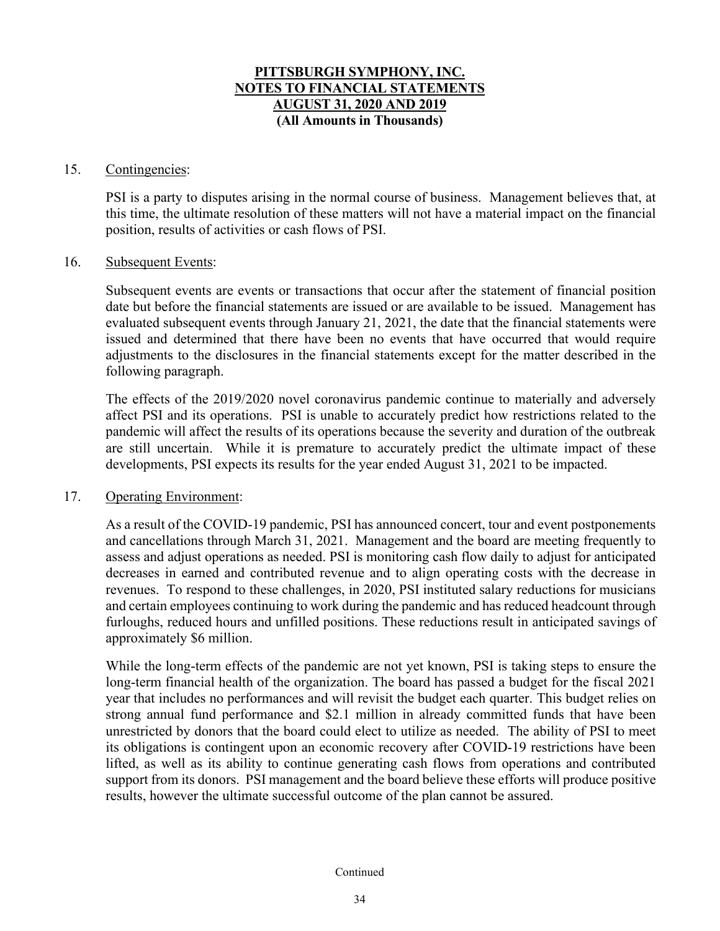#### 15. Contingencies:

PSI is a party to disputes arising in the normal course of business. Management believes that, at this time, the ultimate resolution of these matters will not have a material impact on the financial position, results of activities or cash flows of PSI.

#### 16. Subsequent Events:

Subsequent events are events or transactions that occur after the statement of financial position date but before the financial statements are issued or are available to be issued. Management has evaluated subsequent events through January 21, 2021, the date that the financial statements were issued and determined that there have been no events that have occurred that would require adjustments to the disclosures in the financial statements except for the matter described in the following paragraph.

The effects of the 2019/2020 novel coronavirus pandemic continue to materially and adversely affect PSI and its operations. PSI is unable to accurately predict how restrictions related to the pandemic will affect the results of its operations because the severity and duration of the outbreak are still uncertain. While it is premature to accurately predict the ultimate impact of these developments, PSI expects its results for the year ended August 31, 2021 to be impacted.

### 17. Operating Environment:

As a result of the COVID-19 pandemic, PSI has announced concert, tour and event postponements and cancellations through March 31, 2021. Management and the board are meeting frequently to assess and adjust operations as needed. PSI is monitoring cash flow daily to adjust for anticipated decreases in earned and contributed revenue and to align operating costs with the decrease in revenues. To respond to these challenges, in 2020, PSI instituted salary reductions for musicians and certain employees continuing to work during the pandemic and has reduced headcount through furloughs, reduced hours and unfilled positions. These reductions result in anticipated savings of approximately \$6 million.

While the long-term effects of the pandemic are not yet known, PSI is taking steps to ensure the long-term financial health of the organization. The board has passed a budget for the fiscal 2021 year that includes no performances and will revisit the budget each quarter. This budget relies on strong annual fund performance and \$2.1 million in already committed funds that have been unrestricted by donors that the board could elect to utilize as needed. The ability of PSI to meet its obligations is contingent upon an economic recovery after COVID-19 restrictions have been lifted, as well as its ability to continue generating cash flows from operations and contributed support from its donors. PSI management and the board believe these efforts will produce positive results, however the ultimate successful outcome of the plan cannot be assured.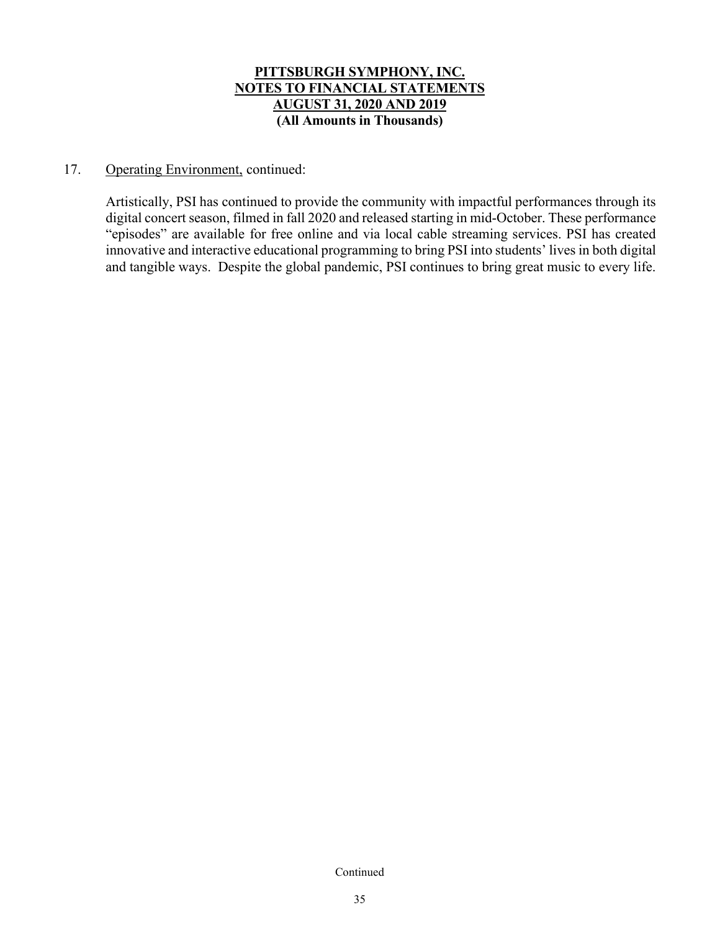### 17. Operating Environment, continued:

Artistically, PSI has continued to provide the community with impactful performances through its digital concert season, filmed in fall 2020 and released starting in mid-October. These performance "episodes" are available for free online and via local cable streaming services. PSI has created innovative and interactive educational programming to bring PSI into students' lives in both digital and tangible ways. Despite the global pandemic, PSI continues to bring great music to every life.